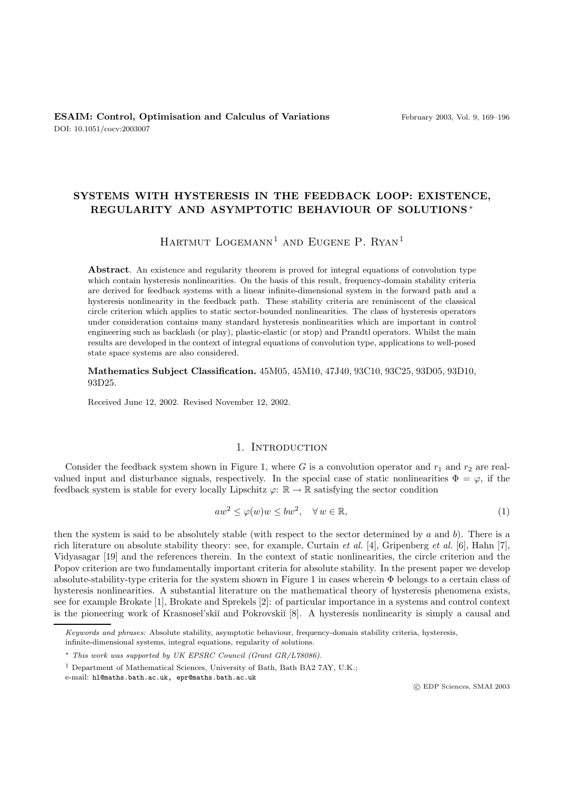# **SYSTEMS WITH HYSTERESIS IN THE FEEDBACK LOOP: EXISTENCE, REGULARITY AND ASYMPTOTIC BEHAVIOUR OF SOLUTIONS** ∗

# HARTMUT  $LOGEMANN<sup>1</sup>$  and Eugene P. RYAN<sup>1</sup>

**Abstract**. An existence and regularity theorem is proved for integral equations of convolution type which contain hysteresis nonlinearities. On the basis of this result, frequency-domain stability criteria are derived for feedback systems with a linear infinite-dimensional system in the forward path and a hysteresis nonlinearity in the feedback path. These stability criteria are reminiscent of the classical circle criterion which applies to static sector-bounded nonlinearities. The class of hysteresis operators under consideration contains many standard hysteresis nonlinearities which are important in control engineering such as backlash (or play), plastic-elastic (or stop) and Prandtl operators. Whilst the main results are developed in the context of integral equations of convolution type, applications to well-posed state space systems are also considered.

**Mathematics Subject Classification.** 45M05, 45M10, 47J40, 93C10, 93C25, 93D05, 93D10, 93D25.

Received June 12, 2002. Revised November 12, 2002.

### 1. INTRODUCTION

Consider the feedback system shown in Figure 1, where G is a convolution operator and  $r_1$  and  $r_2$  are realvalued input and disturbance signals, respectively. In the special case of static nonlinearities  $\Phi = \varphi$ , if the feedback system is stable for every locally Lipschitz  $\varphi: \mathbb{R} \to \mathbb{R}$  satisfying the sector condition

$$
aw^2 \le \varphi(w)w \le bw^2, \quad \forall \, w \in \mathbb{R}, \tag{1}
$$

then the system is said to be absolutely stable (with respect to the sector determined by a and b). There is a rich literature on absolute stability theory: see, for example, Curtain *et al.* [4], Gripenberg *et al.* [6], Hahn [7], Vidyasagar [19] and the references therein. In the context of static nonlinearities, the circle criterion and the Popov criterion are two fundamentally important criteria for absolute stability. In the present paper we develop absolute-stability-type criteria for the system shown in Figure 1 in cases wherein Φ belongs to a certain class of hysteresis nonlinearities. A substantial literature on the mathematical theory of hysteresis phenomena exists, see for example Brokate [1], Brokate and Sprekels [2]: of particular importance in a systems and control context is the pioneering work of Krasnosel'skiı̆ and Pokrovski $\lceil 8 \rceil$ . A hysteresis nonlinearity is simply a causal and

c EDP Sciences, SMAI 2003

Keywords and phrases: Absolute stability, asymptotic behaviour, frequency-domain stability criteria, hysteresis,

infinite-dimensional systems, integral equations, regularity of solutions.

<sup>∗</sup> This work was supported by UK EPSRC Council (Grant GR/L78086).

<sup>&</sup>lt;sup>1</sup> Department of Mathematical Sciences, University of Bath, Bath BA2 7AY, U.K.;

e-mail: hl@maths.bath.ac.uk, epr@maths.bath.ac.uk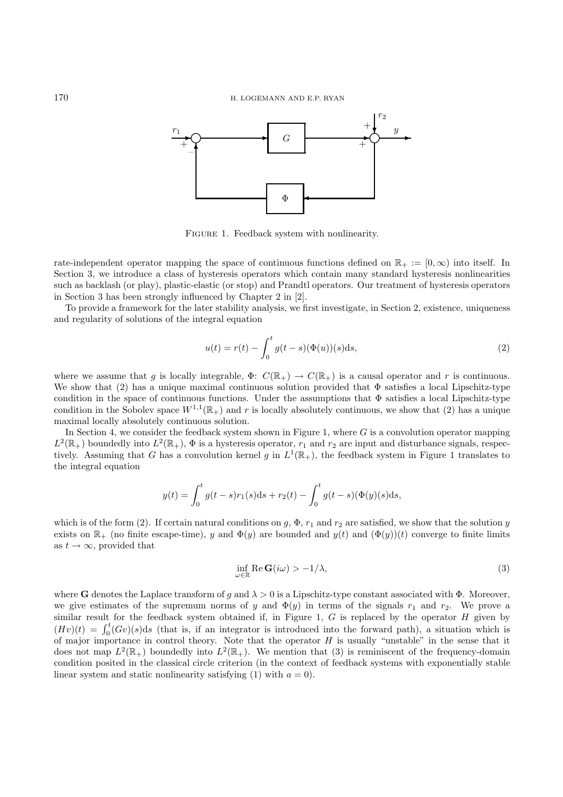

FIGURE 1. Feedback system with nonlinearity.

rate-independent operator mapping the space of continuous functions defined on  $\mathbb{R}_+ := [0, \infty)$  into itself. In Section 3, we introduce a class of hysteresis operators which contain many standard hysteresis nonlinearities such as backlash (or play), plastic-elastic (or stop) and Prandtl operators. Our treatment of hysteresis operators in Section 3 has been strongly influenced by Chapter 2 in [2].

To provide a framework for the later stability analysis, we first investigate, in Section 2, existence, uniqueness and regularity of solutions of the integral equation

$$
u(t) = r(t) - \int_0^t g(t - s)(\Phi(u))(s)ds,
$$
\n(2)

where we assume that g is locally integrable,  $\Phi: C(\mathbb{R}_+) \to C(\mathbb{R}_+)$  is a causal operator and r is continuous. We show that (2) has a unique maximal continuous solution provided that  $\Phi$  satisfies a local Lipschitz-type condition in the space of continuous functions. Under the assumptions that Φ satisfies a local Lipschitz-type condition in the Sobolev space  $W^{1,1}(\mathbb{R}_+)$  and r is locally absolutely continuous, we show that (2) has a unique maximal locally absolutely continuous solution.

In Section 4, we consider the feedback system shown in Figure 1, where  $G$  is a convolution operator mapping  $L^2(\mathbb{R}_+)$  boundedly into  $L^2(\mathbb{R}_+)$ ,  $\Phi$  is a hysteresis operator,  $r_1$  and  $r_2$  are input and disturbance signals, respectively. Assuming that G has a convolution kernel g in  $L^1(\mathbb{R}_+)$ , the feedback system in Figure 1 translates to the integral equation

$$
y(t) = \int_0^t g(t-s)r_1(s)ds + r_2(t) - \int_0^t g(t-s)(\Phi(y)(s)ds,
$$

which is of the form (2). If certain natural conditions on g,  $\Phi$ ,  $r_1$  and  $r_2$  are satisfied, we show that the solution y exists on  $\mathbb{R}_+$  (no finite escape-time), y and  $\Phi(y)$  are bounded and  $y(t)$  and  $(\Phi(y))(t)$  converge to finite limits as  $t \to \infty$ , provided that

$$
\inf_{\omega \in \mathbb{R}} \text{Re } \mathbf{G}(i\omega) > -1/\lambda,
$$
\n(3)

where **G** denotes the Laplace transform of g and  $\lambda > 0$  is a Lipschitz-type constant associated with  $\Phi$ . Moreover, we give estimates of the supremum norms of y and  $\Phi(y)$  in terms of the signals  $r_1$  and  $r_2$ . We prove a similar result for the feedback system obtained if, in Figure 1,  $G$  is replaced by the operator  $H$  given by  $(Hv)(t) = \int_0^t (Gv)(s)ds$  (that is, if an integrator is introduced into the forward path), a situation which is of major importance in control theory. Note that the operator  $H$  is usually "unstable" in the sense that it does not map  $L^2(\mathbb{R}_+)$  boundedly into  $L^2(\mathbb{R}_+)$ . We mention that (3) is reminiscent of the frequency-domain condition posited in the classical circle criterion (in the context of feedback systems with exponentially stable linear system and static nonlinearity satisfying (1) with  $a = 0$ ).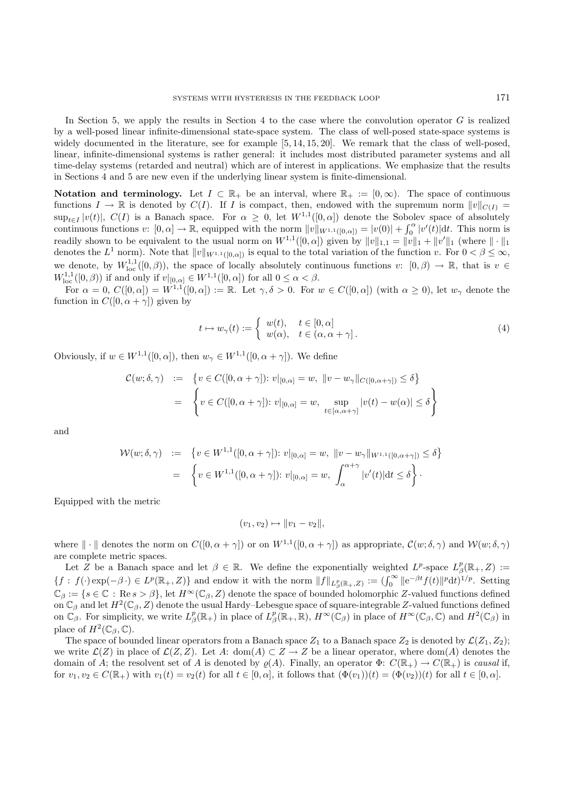In Section 5, we apply the results in Section 4 to the case where the convolution operator  $G$  is realized by a well-posed linear infinite-dimensional state-space system. The class of well-posed state-space systems is widely documented in the literature, see for example [5, 14, 15, 20]. We remark that the class of well-posed, linear, infinite-dimensional systems is rather general: it includes most distributed parameter systems and all time-delay systems (retarded and neutral) which are of interest in applications. We emphasize that the results in Sections 4 and 5 are new even if the underlying linear system is finite-dimensional.

**Notation and terminology.** Let  $I \subset \mathbb{R}_+$  be an interval, where  $\mathbb{R}_+ := [0, \infty)$ . The space of continuous functions  $I \to \mathbb{R}$  is denoted by  $C(I)$ . If I is compact, then, endowed with the supremum norm  $||v||_{C(I)} =$  $\sup_{t\in I}|v(t)|$ ,  $C(I)$  is a Banach space. For  $\alpha \geq 0$ , let  $W^{1,1}([0,\alpha])$  denote the Sobolev space of absolutely continuous functions  $v: [0, \alpha] \to \mathbb{R}$ , equipped with the norm  $||v||_{W^{1,1}([0,\alpha])} = |v(0)| + \int_0^\alpha |v'(t)| dt$ . This norm is readily shown to be equivalent to the usual norm on  $W^{1,1}([0,\alpha])$  given by  $||v||_{1,1} = ||v||_1 + ||v'||_1$  (where  $|| \cdot ||_1$ denotes the  $L^1$  norm). Note that  $||v||_{W^{1,1}([0,\alpha])}$  is equal to the total variation of the function v. For  $0 < \beta \leq \infty$ , we denote, by  $W^{1,1}_{loc}([0,\beta))$ , the space of locally absolutely continuous functions  $v: [0,\beta) \to \mathbb{R}$ , that is  $v \in$  $W^{1,1}_{loc}([0,\beta))$  if and only if  $v|_{[0,\alpha]} \in W^{1,1}([0,\alpha])$  for all  $0 \leq \alpha < \beta$ .

For  $\alpha = 0$ ,  $C([0,\alpha]) = W^{1,1}([0,\alpha]) := \mathbb{R}$ . Let  $\gamma, \delta > 0$ . For  $w \in C([0,\alpha])$  (with  $\alpha \geq 0$ ), let  $w_{\gamma}$  denote the function in  $C([0, \alpha + \gamma])$  given by

$$
t \mapsto w_{\gamma}(t) := \begin{cases} w(t), & t \in [0, \alpha] \\ w(\alpha), & t \in (\alpha, \alpha + \gamma] \end{cases} (4)
$$

Obviously, if  $w \in W^{1,1}([0,\alpha])$ , then  $w_\gamma \in W^{1,1}([0,\alpha+\gamma])$ . We define

$$
C(w; \delta, \gamma) := \left\{ v \in C([0, \alpha + \gamma]) : v|_{[0, \alpha]} = w, \ ||v - w_{\gamma}||_{C([0, \alpha + \gamma])} \le \delta \right\}
$$

$$
= \left\{ v \in C([0, \alpha + \gamma]) : v|_{[0, \alpha]} = w, \sup_{t \in [\alpha, \alpha + \gamma]} |v(t) - w(\alpha)| \le \delta \right\}
$$

and

$$
\mathcal{W}(w; \delta, \gamma) := \{ v \in W^{1,1}([0, \alpha + \gamma]) : v|_{[0,\alpha]} = w, \ \|v - w_{\gamma}\|_{W^{1,1}([0, \alpha + \gamma])} \le \delta \}
$$
  

$$
= \left\{ v \in W^{1,1}([0, \alpha + \gamma]) : v|_{[0,\alpha]} = w, \ \int_{\alpha}^{\alpha + \gamma} |v'(t)| dt \le \delta \right\}.
$$

Equipped with the metric

$$
(v_1, v_2) \mapsto ||v_1 - v_2||,
$$

where  $\|\cdot\|$  denotes the norm on  $C([0, \alpha + \gamma])$  or on  $W^{1,1}([0, \alpha + \gamma])$  as appropriate,  $\mathcal{C}(w; \delta, \gamma)$  and  $\mathcal{W}(w; \delta, \gamma)$ are complete metric spaces.

Let Z be a Banach space and let  $\beta \in \mathbb{R}$ . We define the exponentially weighted  $L^p$ -space  $L^p_\beta(\mathbb{R}_+, Z) :=$  ${f : f(\cdot) \exp(-\beta \cdot) \in L^p(\mathbb{R}_+, Z)}$  and endow it with the norm  $||f||_{L^p_\beta(\mathbb{R}_+, Z)} := (\int_0^\infty ||e^{-\beta t}f(t)||^p dt)^{1/p}$ . Setting  $\mathbb{C}_{\beta} := \{s \in \mathbb{C} : \text{Re}\, s > \beta\},\$ let  $H^{\infty}(\mathbb{C}_{\beta}, Z)$  denote the space of bounded holomorphic Z-valued functions defined on  $\mathbb{C}_{\beta}$  and let  $H^2(\mathbb{C}_{\beta}, Z)$  denote the usual Hardy–Lebesgue space of square-integrable Z-valued functions defined on  $\mathbb{C}_{\beta}$ . For simplicity, we write  $L^p_{\beta}(\mathbb{R}_+)$  in place of  $L^p_{\beta}(\mathbb{R}_+, \mathbb{R})$ ,  $H^{\infty}(\mathbb{C}_{\beta})$  in place of  $H^{\infty}(\mathbb{C}_{\beta}, \mathbb{C})$  and  $H^2(\mathbb{C}_{\beta})$  in place of  $H^2(\mathbb{C}_{\beta}, \mathbb{C})$ .

The space of bounded linear operators from a Banach space  $Z_1$  to a Banach space  $Z_2$  is denoted by  $\mathcal{L}(Z_1, Z_2)$ ; we write  $\mathcal{L}(Z)$  in place of  $\mathcal{L}(Z, Z)$ . Let A: dom(A)  $\subset Z \to Z$  be a linear operator, where dom(A) denotes the domain of A; the resolvent set of A is denoted by  $\rho(A)$ . Finally, an operator  $\Phi: C(\mathbb{R}_+) \to C(\mathbb{R}_+)$  is *causal* if, for  $v_1, v_2 \in C(\mathbb{R}_+)$  with  $v_1(t) = v_2(t)$  for all  $t \in [0, \alpha]$ , it follows that  $(\Phi(v_1))(t) = (\Phi(v_2))(t)$  for all  $t \in [0, \alpha]$ .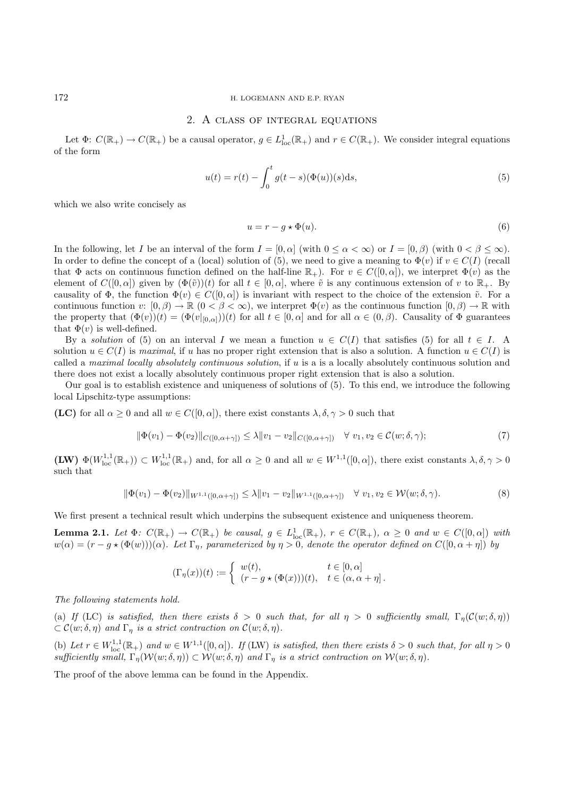### 172 H. LOGEMANN AND E.P. RYAN

## 2. A class of integral equations

Let  $\Phi: C(\mathbb{R}_+) \to C(\mathbb{R}_+)$  be a causal operator,  $g \in L^1_{loc}(\mathbb{R}_+)$  and  $r \in C(\mathbb{R}_+)$ . We consider integral equations of the form

$$
u(t) = r(t) - \int_0^t g(t - s)(\Phi(u))(s)ds,
$$
\n(5)

which we also write concisely as

$$
u = r - g \star \Phi(u). \tag{6}
$$

In the following, let I be an interval of the form  $I = [0, \alpha]$  (with  $0 \leq \alpha < \infty$ ) or  $I = [0, \beta)$  (with  $0 < \beta \leq \infty$ ). In order to define the concept of a (local) solution of (5), we need to give a meaning to  $\Phi(v)$  if  $v \in C(I)$  (recall that  $\Phi$  acts on continuous function defined on the half-line  $\mathbb{R}_+$ ). For  $v \in C([0,\alpha])$ , we interpret  $\Phi(v)$  as the element of  $C([0,\alpha])$  given by  $(\Phi(\tilde{v}))(t)$  for all  $t \in [0,\alpha]$ , where  $\tilde{v}$  is any continuous extension of v to  $\mathbb{R}_+$ . By causality of  $\Phi$ , the function  $\Phi(v) \in C([0,\alpha])$  is invariant with respect to the choice of the extension  $\tilde{v}$ . For a continuous function  $v: [0, \beta) \to \mathbb{R}$   $(0 \lt \beta \lt \infty)$ , we interpret  $\Phi(v)$  as the continuous function  $[0, \beta) \to \mathbb{R}$  with the property that  $(\Phi(v))(t) = (\Phi(v|_{[0,\alpha]}))(t)$  for all  $t \in [0,\alpha]$  and for all  $\alpha \in (0,\beta)$ . Causality of  $\Phi$  guarantees that  $\Phi(v)$  is well-defined.

By a *solution* of (5) on an interval I we mean a function  $u \in C(I)$  that satisfies (5) for all  $t \in I$ . A solution  $u \in C(I)$  is *maximal*, if u has no proper right extension that is also a solution. A function  $u \in C(I)$  is called a *maximal locally absolutely continuous solution*, if u is a is a locally absolutely continuous solution and there does not exist a locally absolutely continuous proper right extension that is also a solution.

Our goal is to establish existence and uniqueness of solutions of (5). To this end, we introduce the following local Lipschitz-type assumptions:

**(LC)** for all  $\alpha > 0$  and all  $w \in C([0, \alpha])$ , there exist constants  $\lambda, \delta, \gamma > 0$  such that

$$
\|\Phi(v_1) - \Phi(v_2)\|_{C([0,\alpha+\gamma])} \le \lambda \|v_1 - v_2\|_{C([0,\alpha+\gamma])} \quad \forall \ v_1, v_2 \in C(w; \delta, \gamma); \tag{7}
$$

**(LW)**  $\Phi(W_{\text{loc}}^{1,1}(\mathbb{R}_+)) \subset W_{\text{loc}}^{1,1}(\mathbb{R}_+)$  and, for all  $\alpha \geq 0$  and all  $w \in W^{1,1}([0,\alpha])$ , there exist constants  $\lambda, \delta, \gamma > 0$ such that

$$
\|\Phi(v_1) - \Phi(v_2)\|_{W^{1,1}([0,\alpha+\gamma])} \le \lambda \|v_1 - v_2\|_{W^{1,1}([0,\alpha+\gamma])} \quad \forall \ v_1, v_2 \in \mathcal{W}(w;\delta,\gamma).
$$
\n(8)

We first present a technical result which underpins the subsequent existence and uniqueness theorem.

**Lemma 2.1.** *Let*  $\Phi$ :  $C(\mathbb{R}_+) \to C(\mathbb{R}_+)$  *be causal,*  $g \in L^1_{loc}(\mathbb{R}_+), r \in C(\mathbb{R}_+), \alpha \geq 0$  *and*  $w \in C([0,\alpha])$  *with*  $w(\alpha)=(r-g*(\Phi(w)))(\alpha)$ *. Let*  $\Gamma_n$ *, parameterized by*  $\eta>0$ *, denote the operator defined on*  $C([0,\alpha+\eta])$  *by* 

$$
(\Gamma_{\eta}(x))(t) := \begin{cases} w(t), & t \in [0, \alpha] \\ (r - g \star (\Phi(x)))(t), & t \in (\alpha, \alpha + \eta]. \end{cases}
$$

*The following statements hold.*

(a) *If* (LC) *is satisfied, then there exists*  $\delta > 0$  *such that, for all*  $\eta > 0$  *sufficiently small,*  $\Gamma_{\eta}(C(w;\delta,\eta))$  $\subset \mathcal{C}(w; \delta, \eta)$  *and*  $\Gamma_n$  *is a strict contraction on*  $\mathcal{C}(w; \delta, \eta)$ *.* 

(b) Let  $r \in W^{1,1}_{loc}(\mathbb{R}_+)$  and  $w \in W^{1,1}([0,\alpha])$ . If (LW) is satisfied, then there exists  $\delta > 0$  such that, for all  $\eta > 0$ *sufficiently small,*  $\Gamma_n(\mathcal{W}(w;\delta,\eta)) \subset \mathcal{W}(w;\delta,\eta)$  and  $\Gamma_n$  is a strict contraction on  $\mathcal{W}(w;\delta,\eta)$ .

The proof of the above lemma can be found in the Appendix.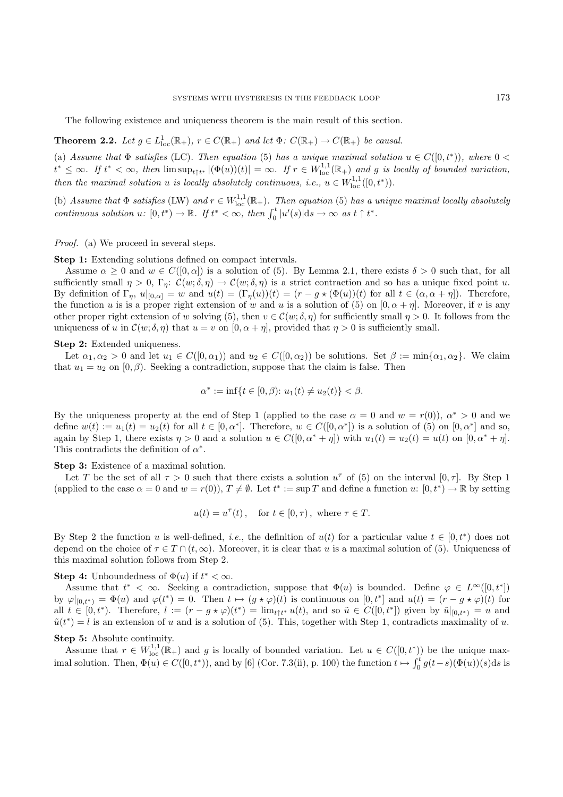The following existence and uniqueness theorem is the main result of this section.

**Theorem 2.2.** Let  $g \in L^1_{loc}(\mathbb{R}_+), r \in C(\mathbb{R}_+)$  and let  $\Phi: C(\mathbb{R}_+) \to C(\mathbb{R}_+)$  be causal.

(a) Assume that  $\Phi$  satisfies (LC). Then equation (5) has a unique maximal solution  $u \in C([0,t^*))$ , where  $0 <$  $t^* \leq \infty$ . If  $t^* < \infty$ , then  $\limsup_{t \uparrow t^*} |(\Phi(u))(t)| = \infty$ . If  $r \in W^{1,1}_{loc}(\mathbb{R}_+)$  and g is locally of bounded variation, *then the maximal solution* u *is locally absolutely continuous, i.e.,*  $u \in W^{1,1}_{loc}([0,t^*)$ .

(b) Assume that  $\Phi$  satisfies (LW) and  $r \in W^{1,1}_{loc}(\mathbb{R}_+)$ . Then equation (5) has a unique maximal locally absolutely *continuous solution*  $u: [0, t^*) \to \mathbb{R}$ . If  $t^* < \infty$ , then  $\int_0^t |u'(s)| ds \to \infty$  as  $t \uparrow t^*$ .

#### *Proof.* (a) We proceed in several steps.

**Step 1:** Extending solutions defined on compact intervals.

Assume  $\alpha \geq 0$  and  $w \in C([0,\alpha])$  is a solution of (5). By Lemma 2.1, there exists  $\delta > 0$  such that, for all sufficiently small  $\eta > 0$ ,  $\Gamma_{\eta}$ :  $\mathcal{C}(w; \delta, \eta) \to \mathcal{C}(w; \delta, \eta)$  is a strict contraction and so has a unique fixed point u. By definition of  $\Gamma_{\eta}$ ,  $u|_{[0,\alpha]}=w$  and  $u(t)=(\Gamma_{\eta}(u))(t)=(r - g \star (\Phi(u))(t)$  for all  $t \in (\alpha, \alpha + \eta])$ . Therefore, the function u is is a proper right extension of w and u is a solution of (5) on  $[0, \alpha + \eta]$ . Moreover, if v is any other proper right extension of w solving (5), then  $v \in \mathcal{C}(w; \delta, \eta)$  for sufficiently small  $\eta > 0$ . It follows from the uniqueness of u in  $\mathcal{C}(w; \delta, \eta)$  that  $u = v$  on  $[0, \alpha + \eta]$ , provided that  $\eta > 0$  is sufficiently small.

#### **Step 2:** Extended uniqueness.

Let  $\alpha_1, \alpha_2 > 0$  and let  $u_1 \in C([0, \alpha_1))$  and  $u_2 \in C([0, \alpha_2))$  be solutions. Set  $\beta := \min{\{\alpha_1, \alpha_2\}}$ . We claim that  $u_1 = u_2$  on [0,  $\beta$ ). Seeking a contradiction, suppose that the claim is false. Then

$$
\alpha^* := \inf \{ t \in [0, \beta) \colon u_1(t) \neq u_2(t) \} < \beta.
$$

By the uniqueness property at the end of Step 1 (applied to the case  $\alpha = 0$  and  $w = r(0)$ ),  $\alpha^* > 0$  and we define  $w(t) := u_1(t) = u_2(t)$  for all  $t \in [0, \alpha^*]$ . Therefore,  $w \in C([0, \alpha^*])$  is a solution of (5) on  $[0, \alpha^*]$  and so, again by Step 1, there exists  $\eta > 0$  and a solution  $u \in C([0, \alpha^* + \eta])$  with  $u_1(t) = u_2(t) = u(t)$  on  $[0, \alpha^* + \eta]$ . This contradicts the definition of  $\alpha^*$ .

**Step 3:** Existence of a maximal solution.

Let T be the set of all  $\tau > 0$  such that there exists a solution  $u^{\tau}$  of (5) on the interval  $[0, \tau]$ . By Step 1 (applied to the case  $\alpha = 0$  and  $w = r(0)$ ),  $T \neq \emptyset$ . Let  $t^* := \sup T$  and define a function  $u: [0, t^*) \to \mathbb{R}$  by setting

$$
u(t) = u^{\tau}(t)
$$
, for  $t \in [0, \tau)$ , where  $\tau \in T$ .

By Step 2 the function u is well-defined, *i.e.*, the definition of  $u(t)$  for a particular value  $t \in [0, t^*)$  does not depend on the choice of  $\tau \in T \cap (t, \infty)$ . Moreover, it is clear that u is a maximal solution of (5). Uniqueness of this maximal solution follows from Step 2.

## **Step 4:** Unboundedness of  $\Phi(u)$  if  $t^* < \infty$ .

Assume that  $t^* < \infty$ . Seeking a contradiction, suppose that  $\Phi(u)$  is bounded. Define  $\varphi \in L^{\infty}([0, t^*])$ by  $\varphi|_{[0,t^*)} = \Phi(u)$  and  $\varphi(t^*) = 0$ . Then  $t \mapsto (g * \varphi)(t)$  is continuous on  $[0,t^*]$  and  $u(t)=(r - g * \varphi)(t)$  for all  $t \in [0, t^*)$ . Therefore,  $l := (r - g * \varphi)(t^*) = \lim_{t \uparrow t^*} u(t)$ , and so  $\tilde{u} \in C([0, t^*)]$  given by  $\tilde{u}|_{[0, t^*)} = u$  and  $\tilde{u}(t^*) = l$  is an extension of u and is a solution of (5). This, together with Step 1, contradicts maximality of u.

## **Step 5:** Absolute continuity.

Assume that  $r \in W^{1,1}_{loc}(\mathbb{R}_+)$  and g is locally of bounded variation. Let  $u \in C([0,t^*))$  be the unique maximal solution. Then,  $\Phi(u) \in C([0, t^*))$ , and by [6] (Cor. 7.3(ii), p. 100) the function  $t \mapsto \int_0^t g(t-s)(\Phi(u))(s)ds$  is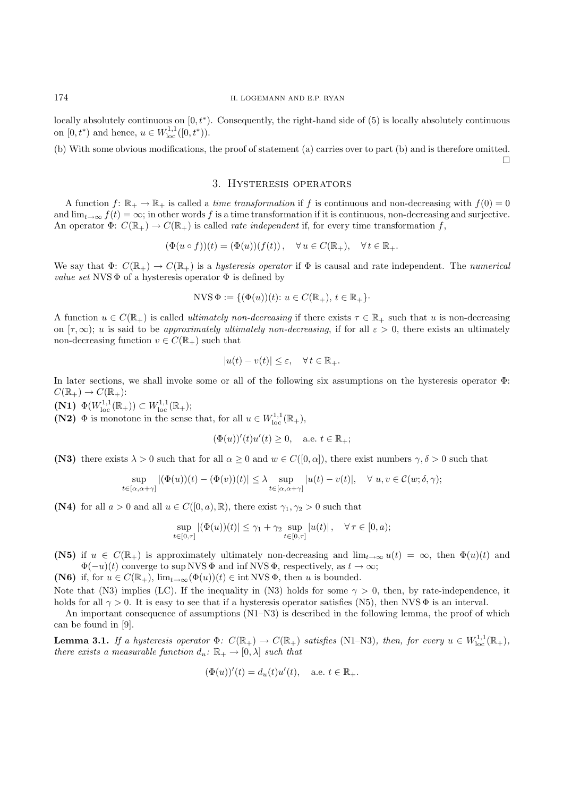locally absolutely continuous on  $[0, t^*)$ . Consequently, the right-hand side of  $(5)$  is locally absolutely continuous on  $[0, t^*)$  and hence,  $u \in W^{1,1}_{loc}([0, t^*)$ .

(b) With some obvious modifications, the proof of statement (a) carries over to part (b) and is therefore omitted.  $\Box$ 

# 3. Hysteresis operators

A function  $f: \mathbb{R}_+ \to \mathbb{R}_+$  is called a *time transformation* if f is continuous and non-decreasing with  $f(0) = 0$ and  $\lim_{t\to\infty} f(t) = \infty$ ; in other words f is a time transformation if it is continuous, non-decreasing and surjective. An operator  $\Phi: C(\mathbb{R}_+) \to C(\mathbb{R}_+)$  is called *rate independent* if, for every time transformation f,

$$
(\Phi(u \circ f))(t) = (\Phi(u))(f(t)), \quad \forall u \in C(\mathbb{R}_+), \quad \forall t \in \mathbb{R}_+.
$$

We say that  $\Phi: C(\mathbb{R}_+) \to C(\mathbb{R}_+)$  is a *hysteresis operator* if  $\Phi$  is causal and rate independent. The *numerical value set* NVS  $\Phi$  of a hysteresis operator  $\Phi$  is defined by

$$
NVS \Phi := \{ (\Phi(u))(t) \colon u \in C(\mathbb{R}_+), t \in \mathbb{R}_+ \}.
$$

A function  $u \in C(\mathbb{R}_+)$  is called *ultimately non-decreasing* if there exists  $\tau \in \mathbb{R}_+$  such that u is non-decreasing on  $[\tau, \infty)$ ; u is said to be *approximately ultimately non-decreasing*, if for all  $\varepsilon > 0$ , there exists an ultimately non-decreasing function  $v \in C(\mathbb{R}_+)$  such that

$$
|u(t) - v(t)| \le \varepsilon, \quad \forall \, t \in \mathbb{R}_+.
$$

In later sections, we shall invoke some or all of the following six assumptions on the hysteresis operator Φ:  $C(\mathbb{R}_+) \to C(\mathbb{R}_+)$ :

**(N1)**  $\Phi(W_{\text{loc}}^{1,1}(\mathbb{R}_+)) \subset W_{\text{loc}}^{1,1}(\mathbb{R}_+);$ 

**(N2)**  $\Phi$  is monotone in the sense that, for all  $u \in W^{1,1}_{loc}(\mathbb{R}_+),$ 

$$
(\Phi(u))'(t)u'(t) \ge 0, \quad \text{a.e. } t \in \mathbb{R}_+;
$$

**(N3)** there exists  $\lambda > 0$  such that for all  $\alpha \geq 0$  and  $w \in C([0, \alpha])$ , there exist numbers  $\gamma, \delta > 0$  such that

$$
\sup_{t\in[\alpha,\alpha+\gamma]}|(\Phi(u))(t)-(\Phi(v))(t)|\leq\lambda\sup_{t\in[\alpha,\alpha+\gamma]}|u(t)-v(t)|,\quad\forall\ u,v\in\mathcal{C}(w;\delta,\gamma);
$$

**(N4)** for all  $a > 0$  and all  $u \in C([0, a), \mathbb{R})$ , there exist  $\gamma_1, \gamma_2 > 0$  such that

$$
\sup_{t\in[0,\tau]}|(\Phi(u))(t)|\leq \gamma_1+\gamma_2\sup_{t\in[0,\tau]}|u(t)|\,,\quad \forall\,\tau\in[0,a);
$$

**(N5)** if  $u \in C(\mathbb{R}_+)$  is approximately ultimately non-decreasing and  $\lim_{t\to\infty} u(t) = \infty$ , then  $\Phi(u)(t)$  and  $\Phi(-u)(t)$  converge to sup NVS  $\Phi$  and inf NVS  $\Phi$ , respectively, as  $t \to \infty$ ;

**(N6)** if, for  $u \in C(\mathbb{R}_+)$ ,  $\lim_{t\to\infty} (\Phi(u))(t) \in \text{int NVS }\Phi$ , then u is bounded.

Note that (N3) implies (LC). If the inequality in (N3) holds for some  $\gamma > 0$ , then, by rate-independence, it holds for all  $\gamma > 0$ . It is easy to see that if a hysteresis operator satisfies (N5), then NVS  $\Phi$  is an interval.

An important consequence of assumptions (N1–N3) is described in the following lemma, the proof of which can be found in [9].

**Lemma 3.1.** *If a hysteresis operator*  $\Phi$ :  $C(\mathbb{R}_+) \to C(\mathbb{R}_+)$  *satisfies* (N1–N3)*, then, for every*  $u \in W^{1,1}_{loc}(\mathbb{R}_+)$ *, there exists a measurable function*  $d_u: \mathbb{R}_+ \to [0, \lambda]$  *such that* 

$$
(\Phi(u))'(t) = d_u(t)u'(t), \quad \text{a.e. } t \in \mathbb{R}_+.
$$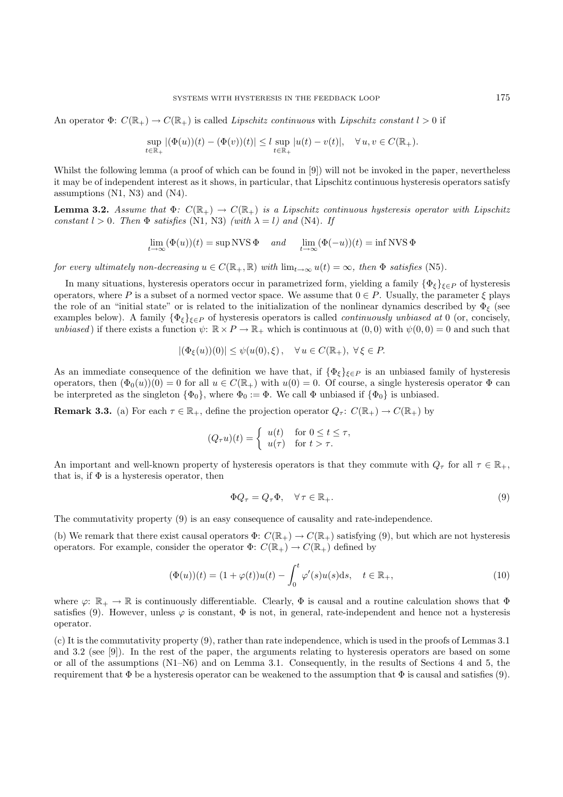An operator  $\Phi: C(\mathbb{R}_+) \to C(\mathbb{R}_+)$  is called *Lipschitz continuous* with *Lipschitz constant*  $l > 0$  if

$$
\sup_{t\in\mathbb{R}_+}|(\Phi(u))(t)-(\Phi(v))(t)|\leq l\sup_{t\in\mathbb{R}_+}|u(t)-v(t)|,\quad\forall\,u,v\in C(\mathbb{R}_+).
$$

Whilst the following lemma (a proof of which can be found in [9]) will not be invoked in the paper, nevertheless it may be of independent interest as it shows, in particular, that Lipschitz continuous hysteresis operators satisfy assumptions (N1, N3) and (N4).

**Lemma 3.2.** *Assume that*  $\Phi$ :  $C(\mathbb{R}_+) \to C(\mathbb{R}_+)$  *is a Lipschitz continuous hysteresis operator with Lipschitz constant*  $l > 0$ *. Then*  $\Phi$  *satisfies* (N1, N3) *(with*  $\lambda = l$ *)* and (N4)*. If* 

$$
\lim_{t \to \infty} (\Phi(u))(t) = \sup NVS \Phi \quad and \quad \lim_{t \to \infty} (\Phi(-u))(t) = \inf NVS \Phi
$$

*for every ultimately non-decreasing*  $u \in C(\mathbb{R}_+, \mathbb{R})$  *with*  $\lim_{t \to \infty} u(t) = \infty$ *, then*  $\Phi$  *satisfies* (N5)*.* 

In many situations, hysteresis operators occur in parametrized form, yielding a family  $\{\Phi_{\xi}\}_{\xi\in P}$  of hysteresis operators, where P is a subset of a normed vector space. We assume that  $0 \in P$ . Usually, the parameter  $\xi$  plays the role of an "initial state" or is related to the initialization of the nonlinear dynamics described by  $\Phi_{\xi}$  (see examples below). A family  $\{\Phi_{\xi}\}_{\xi \in P}$  of hysteresis operators is called *continuously unbiased at* 0 (or, concisely, *unbiased*) if there exists a function  $\psi$ :  $\mathbb{R} \times P \to \mathbb{R}_+$  which is continuous at  $(0,0)$  with  $\psi(0,0) = 0$  and such that

$$
|(\Phi_{\xi}(u))(0)| \leq \psi(u(0),\xi), \quad \forall u \in C(\mathbb{R}_{+}), \ \forall \xi \in P.
$$

As an immediate consequence of the definition we have that, if  $\{\Phi_{\xi}\}_{\xi\in P}$  is an unbiased family of hysteresis operators, then  $(\Phi_0(u))(0) = 0$  for all  $u \in C(\mathbb{R}_+)$  with  $u(0) = 0$ . Of course, a single hysteresis operator  $\Phi$  can be interpreted as the singleton  $\{\Phi_0\}$ , where  $\Phi_0 := \Phi$ . We call  $\Phi$  unbiased if  $\{\Phi_0\}$  is unbiased.

**Remark 3.3.** (a) For each  $\tau \in \mathbb{R}_+$ , define the projection operator  $Q_\tau: C(\mathbb{R}_+) \to C(\mathbb{R}_+)$  by

$$
(Q_{\tau}u)(t) = \begin{cases} u(t) & \text{for } 0 \le t \le \tau, \\ u(\tau) & \text{for } t > \tau. \end{cases}
$$

An important and well-known property of hysteresis operators is that they commute with  $Q_\tau$  for all  $\tau \in \mathbb{R}_+$ , that is, if  $\Phi$  is a hysteresis operator, then

$$
\Phi Q_{\tau} = Q_{\tau} \Phi, \quad \forall \tau \in \mathbb{R}_+.
$$
\n
$$
(9)
$$

The commutativity property (9) is an easy consequence of causality and rate-independence.

(b) We remark that there exist causal operators  $\Phi: C(\mathbb{R}_+) \to C(\mathbb{R}_+)$  satisfying (9), but which are not hysteresis operators. For example, consider the operator  $\Phi: C(\mathbb{R}_+) \to C(\mathbb{R}_+)$  defined by

$$
(\Phi(u))(t) = (1 + \varphi(t))u(t) - \int_0^t \varphi'(s)u(s)ds, \quad t \in \mathbb{R}_+,
$$
\n(10)

where  $\varphi: \mathbb{R}_+ \to \mathbb{R}$  is continuously differentiable. Clearly,  $\Phi$  is causal and a routine calculation shows that  $\Phi$ satisfies (9). However, unless  $\varphi$  is constant,  $\Phi$  is not, in general, rate-independent and hence not a hysteresis operator.

(c) It is the commutativity property (9), rather than rate independence, which is used in the proofs of Lemmas 3.1 and 3.2 (see [9]). In the rest of the paper, the arguments relating to hysteresis operators are based on some or all of the assumptions (N1–N6) and on Lemma 3.1. Consequently, in the results of Sections 4 and 5, the requirement that  $\Phi$  be a hysteresis operator can be weakened to the assumption that  $\Phi$  is causal and satisfies (9).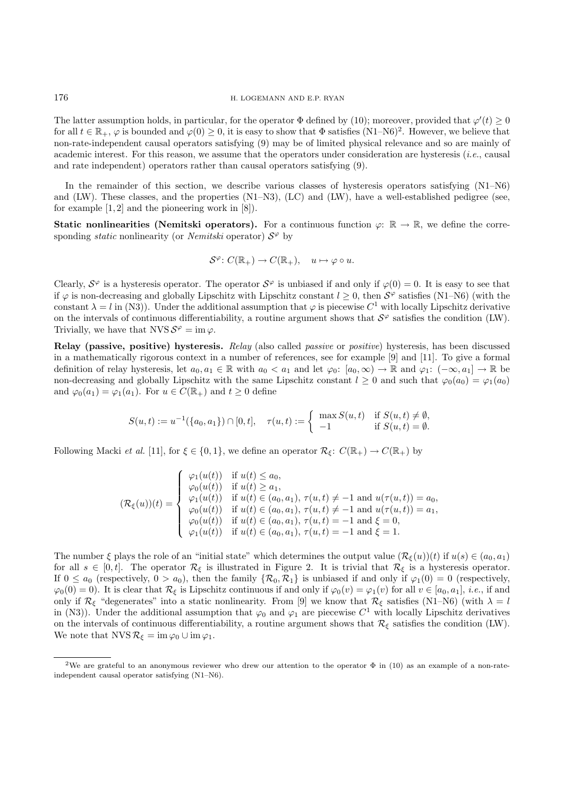The latter assumption holds, in particular, for the operator  $\Phi$  defined by (10); moreover, provided that  $\varphi'(t) \geq 0$ for all  $t \in \mathbb{R}_+$ ,  $\varphi$  is bounded and  $\varphi(0) \geq 0$ , it is easy to show that  $\Phi$  satisfies  $(N1-N6)^2$ . However, we believe that non-rate-independent causal operators satisfying (9) may be of limited physical relevance and so are mainly of academic interest. For this reason, we assume that the operators under consideration are hysteresis (*i.e.*, causal and rate independent) operators rather than causal operators satisfying (9).

In the remainder of this section, we describe various classes of hysteresis operators satisfying  $(N1-N6)$ and (LW). These classes, and the properties (N1–N3), (LC) and (LW), have a well-established pedigree (see, for example  $[1, 2]$  and the pioneering work in  $[8]$ .

**Static nonlinearities (Nemitski operators).** For a continuous function  $\varphi: \mathbb{R} \to \mathbb{R}$ , we define the corresponding *static* nonlinearity (or *Nemitski* operator)  $S^{\varphi}$  by

$$
\mathcal{S}^{\varphi} \colon C(\mathbb{R}_{+}) \to C(\mathbb{R}_{+}), \quad u \mapsto \varphi \circ u.
$$

Clearly,  $S^{\varphi}$  is a hysteresis operator. The operator  $S^{\varphi}$  is unbiased if and only if  $\varphi(0) = 0$ . It is easy to see that if  $\varphi$  is non-decreasing and globally Lipschitz with Lipschitz constant  $l \geq 0$ , then  $S^{\varphi}$  satisfies (N1–N6) (with the constant  $\lambda = l$  in (N3)). Under the additional assumption that  $\varphi$  is piecewise  $C^1$  with locally Lipschitz derivative on the intervals of continuous differentiability, a routine argument shows that  $S<sup>\varphi</sup>$  satisfies the condition (LW). Trivially, we have that  $NVS S^{\varphi} = \text{im } \varphi$ .

**Relay (passive, positive) hysteresis.** *Relay* (also called *passive* or *positive*) hysteresis, has been discussed in a mathematically rigorous context in a number of references, see for example [9] and [11]. To give a formal definition of relay hysteresis, let  $a_0, a_1 \in \mathbb{R}$  with  $a_0 < a_1$  and let  $\varphi_0$ :  $[a_0, \infty) \to \mathbb{R}$  and  $\varphi_1$ :  $(-\infty, a_1] \to \mathbb{R}$  be non-decreasing and globally Lipschitz with the same Lipschitz constant  $l \geq 0$  and such that  $\varphi_0(a_0) = \varphi_1(a_0)$ and  $\varphi_0(a_1) = \varphi_1(a_1)$ . For  $u \in C(\mathbb{R}_+)$  and  $t \geq 0$  define

$$
S(u,t) := u^{-1}(\{a_0, a_1\}) \cap [0,t], \quad \tau(u,t) := \begin{cases} \max S(u,t) & \text{if } S(u,t) \neq \emptyset, \\ -1 & \text{if } S(u,t) = \emptyset. \end{cases}
$$

Following Macki *et al.* [11], for  $\xi \in \{0,1\}$ , we define an operator  $\mathcal{R}_{\xi}$ :  $C(\mathbb{R}_{+}) \to C(\mathbb{R}_{+})$  by

$$
(\mathcal{R}_{\xi}(u))(t) = \begin{cases} \varphi_1(u(t)) & \text{if } u(t) \leq a_0, \\ \varphi_0(u(t)) & \text{if } u(t) \geq a_1, \\ \varphi_1(u(t)) & \text{if } u(t) \in (a_0, a_1), \tau(u, t) \neq -1 \text{ and } u(\tau(u, t)) = a_0, \\ \varphi_0(u(t)) & \text{if } u(t) \in (a_0, a_1), \tau(u, t) \neq -1 \text{ and } u(\tau(u, t)) = a_1, \\ \varphi_0(u(t)) & \text{if } u(t) \in (a_0, a_1), \tau(u, t) = -1 \text{ and } \xi = 0, \\ \varphi_1(u(t)) & \text{if } u(t) \in (a_0, a_1), \tau(u, t) = -1 \text{ and } \xi = 1. \end{cases}
$$

The number  $\xi$  plays the role of an "initial state" which determines the output value  $(\mathcal{R}_{\xi}(u))(t)$  if  $u(s) \in (a_0, a_1)$ for all  $s \in [0, t]$ . The operator  $\mathcal{R}_{\xi}$  is illustrated in Figure 2. It is trivial that  $\mathcal{R}_{\xi}$  is a hysteresis operator. If  $0 \le a_0$  (respectively,  $0 > a_0$ ), then the family  $\{\mathcal{R}_0, \mathcal{R}_1\}$  is unbiased if and only if  $\varphi_1(0) = 0$  (respectively,  $\varphi_0(0) = 0$ . It is clear that  $\mathcal{R}_\xi$  is Lipschitz continuous if and only if  $\varphi_0(v) = \varphi_1(v)$  for all  $v \in [a_0, a_1], i.e.,$  if and only if  $\mathcal{R}_{\xi}$  "degenerates" into a static nonlinearity. From [9] we know that  $\mathcal{R}_{\xi}$  satisfies (N1–N6) (with  $\lambda = l$ in (N3)). Under the additional assumption that  $\varphi_0$  and  $\varphi_1$  are piecewise C<sup>1</sup> with locally Lipschitz derivatives on the intervals of continuous differentiability, a routine argument shows that  $\mathcal{R}_{\xi}$  satisfies the condition (LW). We note that NVS  $\mathcal{R}_{\xi} = \text{im } \varphi_0 \cup \text{im } \varphi_1$ .

<sup>&</sup>lt;sup>2</sup>We are grateful to an anonymous reviewer who drew our attention to the operator  $\Phi$  in (10) as an example of a non-rateindependent causal operator satisfying (N1–N6).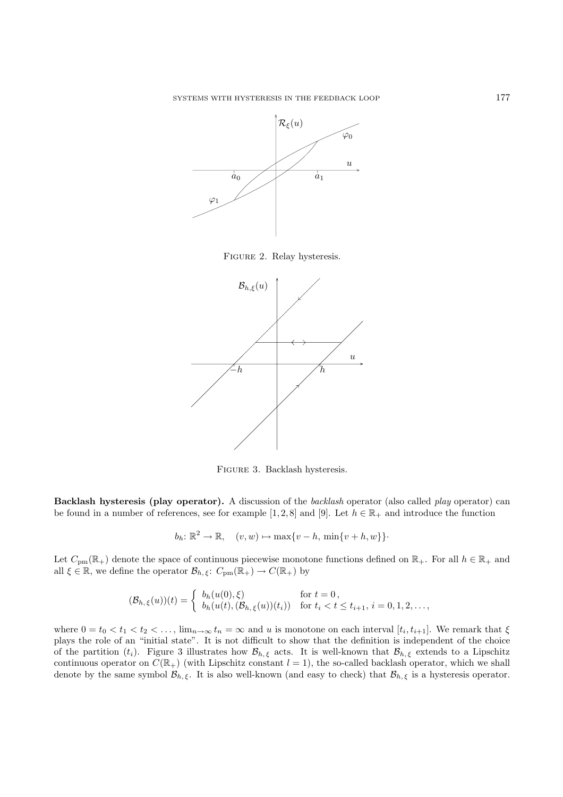

Figure 2. Relay hysteresis.



Figure 3. Backlash hysteresis.

**Backlash hysteresis (play operator).** A discussion of the *backlash* operator (also called *play* operator) can be found in a number of references, see for example [1, 2, 8] and [9]. Let  $h \in \mathbb{R}_+$  and introduce the function

$$
b_h: \mathbb{R}^2 \to \mathbb{R}, \quad (v, w) \mapsto \max\{v - h, \min\{v + h, w\}\}\cdot
$$

Let  $C_{\text{pm}}(\mathbb{R}_+)$  denote the space of continuous piecewise monotone functions defined on  $\mathbb{R}_+$ . For all  $h \in \mathbb{R}_+$  and all  $\xi \in \mathbb{R}$ , we define the operator  $\mathcal{B}_{h,\xi}$ :  $C_{\text{pm}}(\mathbb{R}_{+}) \to C(\mathbb{R}_{+})$  by

$$
(\mathcal{B}_{h,\xi}(u))(t) = \begin{cases} b_h(u(0),\xi) & \text{for } t = 0, \\ b_h(u(t),(\mathcal{B}_{h,\xi}(u))(t_i)) & \text{for } t_i < t \le t_{i+1}, i = 0,1,2,\ldots, \end{cases}
$$

where  $0 = t_0 < t_1 < t_2 < \ldots$ ,  $\lim_{n \to \infty} t_n = \infty$  and u is monotone on each interval  $[t_i, t_{i+1}]$ . We remark that  $\xi$ plays the role of an "initial state". It is not difficult to show that the definition is independent of the choice of the partition  $(t_i)$ . Figure 3 illustrates how  $\mathcal{B}_{h,\xi}$  acts. It is well-known that  $\mathcal{B}_{h,\xi}$  extends to a Lipschitz continuous operator on  $C(\mathbb{R}_+)$  (with Lipschitz constant  $l = 1$ ), the so-called backlash operator, which we shall denote by the same symbol  $\mathcal{B}_{h,\xi}$ . It is also well-known (and easy to check) that  $\mathcal{B}_{h,\xi}$  is a hysteresis operator.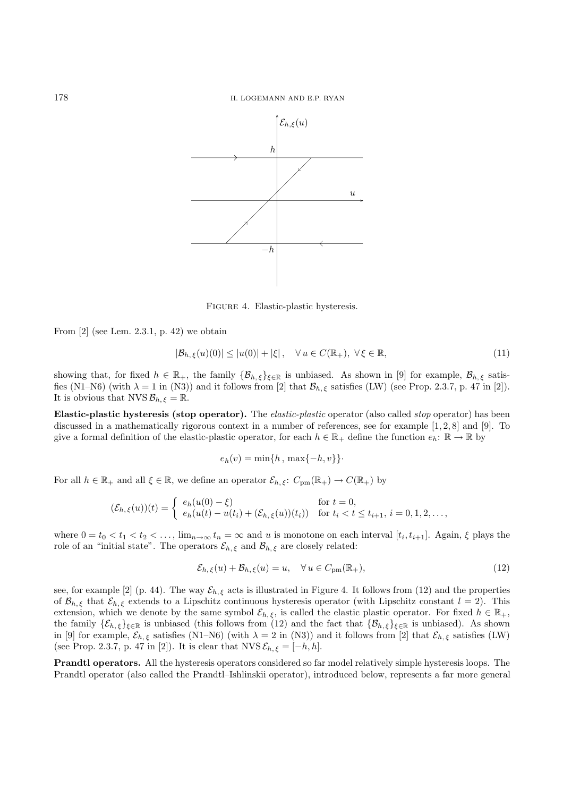178 H. LOGEMANN AND E.P. RYAN



Figure 4. Elastic-plastic hysteresis.

From [2] (see Lem. 2.3.1, p. 42) we obtain

$$
|\mathcal{B}_{h,\xi}(u)(0)| \le |u(0)| + |\xi|, \quad \forall u \in C(\mathbb{R}_+), \ \forall \xi \in \mathbb{R}, \tag{11}
$$

showing that, for fixed  $h \in \mathbb{R}_+$ , the family  $\{\mathcal{B}_{h,\xi}\}_{\xi \in \mathbb{R}}$  is unbiased. As shown in [9] for example,  $\mathcal{B}_{h,\xi}$  satisfies (N1–N6) (with  $\lambda = 1$  in (N3)) and it follows from [2] that  $\mathcal{B}_{h,\xi}$  satisfies (LW) (see Prop. 2.3.7, p. 47 in [2]). It is obvious that NVS  $\mathcal{B}_{h,\xi} = \mathbb{R}$ .

**Elastic-plastic hysteresis (stop operator).** The *elastic-plastic* operator (also called *stop* operator) has been discussed in a mathematically rigorous context in a number of references, see for example [1, 2, 8] and [9]. To give a formal definition of the elastic-plastic operator, for each  $h \in \mathbb{R}_+$  define the function  $e_h: \mathbb{R} \to \mathbb{R}$  by

$$
e_h(v) = \min\{h, \max\{-h, v\}\}\cdot
$$

For all  $h \in \mathbb{R}_+$  and all  $\xi \in \mathbb{R}$ , we define an operator  $\mathcal{E}_{h,\xi}$ :  $C_{\text{pm}}(\mathbb{R}_+) \to C(\mathbb{R}_+)$  by

$$
(\mathcal{E}_{h,\xi}(u))(t) = \begin{cases} e_h(u(0) - \xi) & \text{for } t = 0, \\ e_h(u(t) - u(t_i) + (\mathcal{E}_{h,\xi}(u))(t_i)) & \text{for } t_i < t \le t_{i+1}, i = 0, 1, 2, \dots, \end{cases}
$$

where  $0 = t_0 < t_1 < t_2 < \ldots$ ,  $\lim_{n \to \infty} t_n = \infty$  and u is monotone on each interval  $[t_i, t_{i+1}]$ . Again,  $\xi$  plays the role of an "initial state". The operators  $\mathcal{E}_{h,\xi}$  and  $\mathcal{B}_{h,\xi}$  are closely related:

$$
\mathcal{E}_{h,\xi}(u) + \mathcal{B}_{h,\xi}(u) = u, \quad \forall \, u \in C_{\text{pm}}(\mathbb{R}_+), \tag{12}
$$

see, for example [2] (p. 44). The way  $\mathcal{E}_{h,\xi}$  acts is illustrated in Figure 4. It follows from (12) and the properties of  $\mathcal{B}_{h,\xi}$  that  $\mathcal{E}_{h,\xi}$  extends to a Lipschitz continuous hysteresis operator (with Lipschitz constant  $l = 2$ ). This extension, which we denote by the same symbol  $\mathcal{E}_{h,\xi}$ , is called the elastic plastic operator. For fixed  $h \in \mathbb{R}_+$ , the family  $\{\mathcal{E}_{h,\xi}\}_{\xi\in\mathbb{R}}$  is unbiased (this follows from (12) and the fact that  $\{\mathcal{B}_{h,\xi}\}_{\xi\in\mathbb{R}}$  is unbiased). As shown in [9] for example,  $\mathcal{E}_{h,\xi}$  satisfies (N1–N6) (with  $\lambda = 2$  in (N3)) and it follows from [2] that  $\mathcal{E}_{h,\xi}$  satisfies (LW) (see Prop. 2.3.7, p. 47 in [2]). It is clear that  $NVS\mathcal{E}_{h,\xi} = [-h,h].$ 

**Prandtl operators.** All the hysteresis operators considered so far model relatively simple hysteresis loops. The Prandtl operator (also called the Prandtl–Ishlinskii operator), introduced below, represents a far more general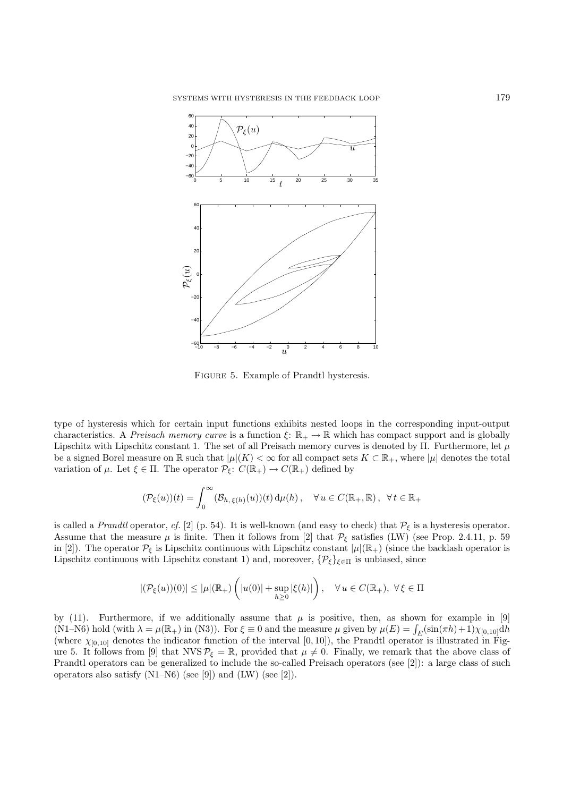

Figure 5. Example of Prandtl hysteresis.

type of hysteresis which for certain input functions exhibits nested loops in the corresponding input-output characteristics. A *Preisach memory curve* is a function  $\xi: \mathbb{R}_+ \to \mathbb{R}$  which has compact support and is globally Lipschitz with Lipschitz constant 1. The set of all Preisach memory curves is denoted by  $\Pi$ . Furthermore, let  $\mu$ be a signed Borel measure on R such that  $|\mu|(K) < \infty$  for all compact sets  $K \subset \mathbb{R}_+$ , where  $|\mu|$  denotes the total variation of  $\mu$ . Let  $\xi \in \Pi$ . The operator  $\mathcal{P}_{\xi}$ :  $C(\mathbb{R}_{+}) \to C(\mathbb{R}_{+})$  defined by

$$
(\mathcal{P}_{\xi}(u))(t) = \int_0^{\infty} (\mathcal{B}_{h,\xi(h)}(u))(t) d\mu(h), \quad \forall u \in C(\mathbb{R}_+, \mathbb{R}), \ \forall t \in \mathbb{R}_+
$$

is called a *Prandtl* operator, *cf.* [2] (p. 54). It is well-known (and easy to check) that  $\mathcal{P}_{\xi}$  is a hysteresis operator. Assume that the measure  $\mu$  is finite. Then it follows from [2] that  $\mathcal{P}_{\xi}$  satisfies (LW) (see Prop. 2.4.11, p. 59 in [2]). The operator  $\mathcal{P}_{\xi}$  is Lipschitz continuous with Lipschitz constant  $|\mu|(\mathbb{R}_{+})$  (since the backlash operator is Lipschitz continuous with Lipschitz constant 1) and, moreover,  $\{\mathcal{P}_{\xi}\}_{\xi \in \Pi}$  is unbiased, since

$$
|(\mathcal{P}_{\xi}(u))(0)|\leq |\mu|(\mathbb{R}_+)\left(|u(0)|+\sup_{h\geq 0}|\xi(h)|\right),\quad \forall\, u\in C(\mathbb{R}_+),\,\,\forall\, \xi\in \Pi
$$

by (11). Furthermore, if we additionally assume that  $\mu$  is positive, then, as shown for example in [9] (N1–N6) hold (with  $\lambda = \mu(\mathbb{R}_+)$  in (N3)). For  $\xi \equiv 0$  and the measure  $\mu$  given by  $\mu(E) = \int_E (\sin(\pi h) + 1) \chi_{[0,10]} dh$ (where  $\chi_{[0,10]}$  denotes the indicator function of the interval [0, 10]), the Prandtl operator is illustrated in Figure 5. It follows from [9] that NVS  $P_{\xi} = \mathbb{R}$ , provided that  $\mu \neq 0$ . Finally, we remark that the above class of Prandtl operators can be generalized to include the so-called Preisach operators (see [2]): a large class of such operators also satisfy  $(N1-N6)$  (see [9]) and  $(LW)$  (see [2]).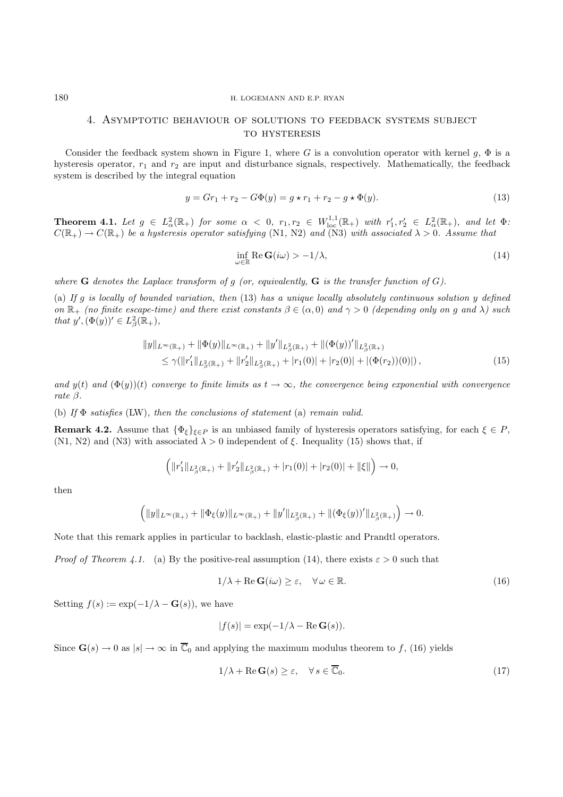### 180 H. LOGEMANN AND E.P. RYAN

## 4. Asymptotic behaviour of solutions to feedback systems subject to hysteresis

Consider the feedback system shown in Figure 1, where G is a convolution operator with kernel g,  $\Phi$  is a hysteresis operator,  $r_1$  and  $r_2$  are input and disturbance signals, respectively. Mathematically, the feedback system is described by the integral equation

$$
y = Gr_1 + r_2 - G\Phi(y) = g \star r_1 + r_2 - g \star \Phi(y). \tag{13}
$$

**Theorem 4.1.** Let  $g \in L^2_\alpha(\mathbb{R}_+)$  for some  $\alpha < 0$ ,  $r_1, r_2 \in W^{1,1}_{loc}(\mathbb{R}_+)$  with  $r'_1, r'_2 \in L^2_\alpha(\mathbb{R}_+)$ , and let  $\Phi$ :  $C(\mathbb{R}_+) \to C(\mathbb{R}_+)$  be a hysteresis operator satisfying (N1, N2) and (N3) with associated  $\lambda > 0$ . Assume that

$$
\inf_{\omega \in \mathbb{R}} \text{Re } \mathbf{G}(i\omega) > -1/\lambda, \tag{14}
$$

where **G** denotes the Laplace transform of g (or, equivalently, **G** is the transfer function of  $G$ ).

(a) *If* g *is locally of bounded variation, then* (13) *has a unique locally absolutely continuous solution* y *defined on*  $\mathbb{R}_+$  *(no finite escape-time) and there exist constants*  $\beta \in (\alpha, 0)$  *and*  $\gamma > 0$  *(depending only on g and*  $\lambda$ ) *such that*  $y'$ ,  $(\Phi(y))' \in L^2_\beta(\mathbb{R}_+),$ 

$$
||y||_{L^{\infty}(\mathbb{R}_+)} + ||\Phi(y)||_{L^{\infty}(\mathbb{R}_+)} + ||y'||_{L^2_{\beta}(\mathbb{R}_+)} + ||(\Phi(y))'||_{L^2_{\beta}(\mathbb{R}_+)}\leq \gamma(||r'_1||_{L^2_{\beta}(\mathbb{R}_+)} + ||r'_2||_{L^2_{\beta}(\mathbb{R}_+)} + |r_1(0)| + |r_2(0)| + |(\Phi(r_2))(0)|),
$$
\n(15)

*and*  $y(t)$  *and*  $(\Phi(y))(t)$  *converge to finite limits as*  $t \to \infty$ *, the convergence being exponential with convergence rate* β*.*

(b) *If* Φ *satisfies* (LW)*, then the conclusions of statement* (a) *remain valid.*

**Remark 4.2.** Assume that  $\{\Phi_{\xi}\}_{\xi \in P}$  is an unbiased family of hysteresis operators satisfying, for each  $\xi \in P$ , (N1, N2) and (N3) with associated  $\lambda > 0$  independent of ξ. Inequality (15) shows that, if

$$
\Big( \|r_1'\|_{L^2_{\beta}(\mathbb{R}_+)} + \|r_2'\|_{L^2_{\beta}(\mathbb{R}_+)} + |r_1(0)| + |r_2(0)| + \|\xi\|\Big) \to 0,
$$

then

$$
\Big( \|y\|_{L^\infty(\mathbb{R}_+)} + \|\Phi_\xi(y)\|_{L^\infty(\mathbb{R}_+)} + \|y'\|_{L^2_\beta(\mathbb{R}_+)} + \|(\Phi_\xi(y))'\|_{L^2_\beta(\mathbb{R}_+)} \Big) \to 0.
$$

Note that this remark applies in particular to backlash, elastic-plastic and Prandtl operators.

*Proof of Theorem 4.1.* (a) By the positive-real assumption (14), there exists  $\varepsilon > 0$  such that

$$
1/\lambda + \text{Re}\,\mathbf{G}(i\omega) \ge \varepsilon, \quad \forall \,\omega \in \mathbb{R}.\tag{16}
$$

Setting  $f(s) := \exp(-1/\lambda - \mathbf{G}(s))$ , we have

$$
|f(s)| = \exp(-1/\lambda - \operatorname{Re} \mathbf{G}(s)).
$$

Since  $\mathbf{G}(s) \to 0$  as  $|s| \to \infty$  in  $\overline{\mathbb{C}}_0$  and applying the maximum modulus theorem to f, (16) yields

$$
1/\lambda + \operatorname{Re} \mathbf{G}(s) \ge \varepsilon, \quad \forall \, s \in \overline{\mathbb{C}}_0. \tag{17}
$$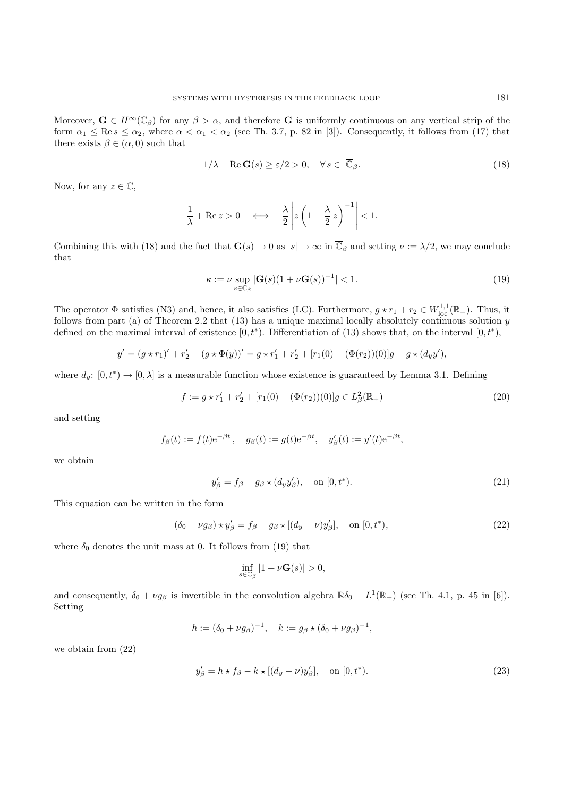Moreover,  $\mathbf{G} \in H^{\infty}(\mathbb{C}_{\beta})$  for any  $\beta > \alpha$ , and therefore **G** is uniformly continuous on any vertical strip of the form  $\alpha_1 \le \text{Re } s \le \alpha_2$ , where  $\alpha < \alpha_1 < \alpha_2$  (see Th. 3.7, p. 82 in [3]). Consequently, it follows from (17) that there exists  $\beta \in (\alpha, 0)$  such that

$$
1/\lambda + \operatorname{Re} \mathbf{G}(s) \ge \varepsilon/2 > 0, \quad \forall \, s \in \overline{\mathbb{C}}_{\beta}.\tag{18}
$$

Now, for any  $z \in \mathbb{C}$ ,

$$
\frac{1}{\lambda} + \text{Re } z > 0 \quad \Longleftrightarrow \quad \frac{\lambda}{2} \left| z \left( 1 + \frac{\lambda}{2} z \right)^{-1} \right| < 1.
$$

Combining this with (18) and the fact that  $\mathbf{G}(s) \to 0$  as  $|s| \to \infty$  in  $\overline{\mathbb{C}}_{\beta}$  and setting  $\nu := \lambda/2$ , we may conclude that

$$
\kappa := \nu \sup_{s \in \mathbb{C}_{\beta}} |\mathbf{G}(s)(1 + \nu \mathbf{G}(s))^{-1}| < 1. \tag{19}
$$

The operator  $\Phi$  satisfies (N3) and, hence, it also satisfies (LC). Furthermore,  $g \star r_1 + r_2 \in W^{1,1}_{loc}(\mathbb{R}_+)$ . Thus, it follows from part (a) of Theorem 2.2 that  $(13)$  has a unique maximal locally absolutely continuous solution  $y$ defined on the maximal interval of existence  $[0, t^*$ ). Differentiation of (13) shows that, on the interval  $[0, t^*$ ),

$$
y' = (g \star r_1)' + r_2' - (g \star \Phi(y))' = g \star r_1' + r_2' + [r_1(0) - (\Phi(r_2))(0)]g - g \star (d_y y'),
$$

where  $d_y: [0, t^*) \to [0, \lambda]$  is a measurable function whose existence is guaranteed by Lemma 3.1. Defining

$$
f := g \star r_1' + r_2' + [r_1(0) - (\Phi(r_2))(0)]g \in L^2_{\beta}(\mathbb{R}_+)
$$
\n(20)

and setting

$$
f_{\beta}(t) := f(t)e^{-\beta t}, \quad g_{\beta}(t) := g(t)e^{-\beta t}, \quad y'_{\beta}(t) := y'(t)e^{-\beta t},
$$

we obtain

$$
y'_{\beta} = f_{\beta} - g_{\beta} \star (d_y y'_{\beta}), \quad \text{on } [0, t^*). \tag{21}
$$

This equation can be written in the form

$$
(\delta_0 + \nu g_\beta) \star y'_\beta = f_\beta - g_\beta \star [(d_y - \nu)y'_\beta], \quad \text{on } [0, t^*), \tag{22}
$$

where  $\delta_0$  denotes the unit mass at 0. It follows from (19) that

$$
\inf_{s\in\mathbb{C}_\beta}|1+\nu\mathbf{G}(s)|>0,
$$

and consequently,  $\delta_0 + \nu g_\beta$  is invertible in the convolution algebra  $\mathbb{R}\delta_0 + L^1(\mathbb{R}_+)$  (see Th. 4.1, p. 45 in [6]). Setting

$$
h := (\delta_0 + \nu g_\beta)^{-1}, \quad k := g_\beta \star (\delta_0 + \nu g_\beta)^{-1},
$$

we obtain from (22)

$$
y'_{\beta} = h \star f_{\beta} - k \star [(d_y - \nu)y'_{\beta}], \quad \text{on } [0, t^*). \tag{23}
$$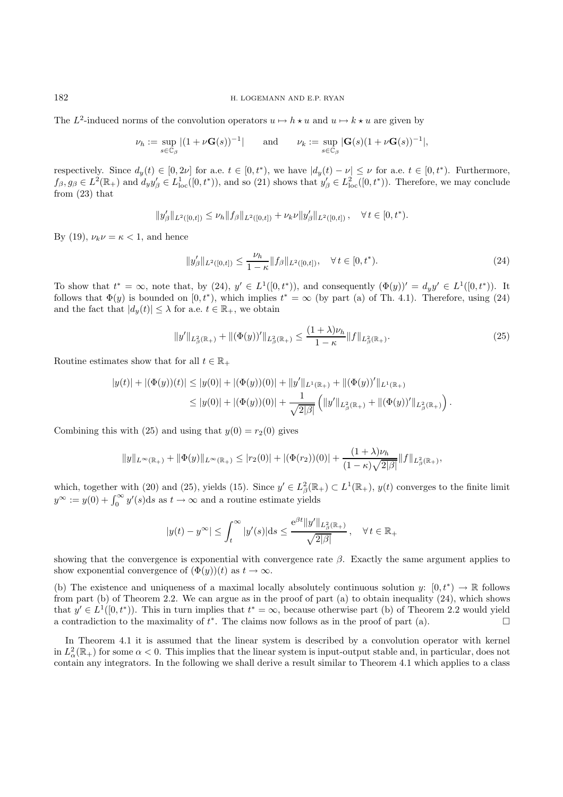#### 182 H. LOGEMANN AND E.P. RYAN

The L<sup>2</sup>-induced norms of the convolution operators  $u \mapsto h \star u$  and  $u \mapsto k \star u$  are given by

$$
\nu_h := \sup_{s \in \mathbb{C}_{\beta}} |(1 + \nu \mathbf{G}(s))^{-1}| \quad \text{and} \quad \nu_k := \sup_{s \in \mathbb{C}_{\beta}} |\mathbf{G}(s)(1 + \nu \mathbf{G}(s))^{-1}|,
$$

respectively. Since  $d_y(t) \in [0, 2\nu]$  for a.e.  $t \in [0, t^*)$ , we have  $|d_y(t) - \nu| \leq \nu$  for a.e.  $t \in [0, t^*)$ . Furthermore,  $f_\beta, g_\beta \in L^2(\mathbb{R}_+)$  and  $d_y y'_\beta \in L^1_{loc}([0, t^*))$ , and so (21) shows that  $y'_\beta \in L^2_{loc}([0, t^*)$ ). Therefore, we may conclude from (23) that

$$
||y'_{\beta}||_{L^{2}([0,t])} \leq \nu_{h}||f_{\beta}||_{L^{2}([0,t])} + \nu_{k}\nu||y'_{\beta}||_{L^{2}([0,t])}, \quad \forall t \in [0,t^{*}).
$$

By (19),  $\nu_k \nu = \kappa < 1$ , and hence

$$
||y'_{\beta}||_{L^{2}([0,t])} \leq \frac{\nu_{h}}{1-\kappa} ||f_{\beta}||_{L^{2}([0,t])}, \quad \forall t \in [0,t^{*}).
$$
\n(24)

To show that  $t^* = \infty$ , note that, by (24),  $y' \in L^1([0, t^*))$ , and consequently  $(\Phi(y))' = d_y y' \in L^1([0, t^*)$ . It follows that  $\Phi(y)$  is bounded on  $[0, t^*)$ , which implies  $t^* = \infty$  (by part (a) of Th. 4.1). Therefore, using (24) and the fact that  $|d_y(t)| \leq \lambda$  for a.e.  $t \in \mathbb{R}_+$ , we obtain

$$
||y'||_{L^2_{\beta}(\mathbb{R}_+)} + ||(\Phi(y))'||_{L^2_{\beta}(\mathbb{R}_+)} \le \frac{(1+\lambda)\nu_h}{1-\kappa} ||f||_{L^2_{\beta}(\mathbb{R}_+)}.
$$
\n(25)

Routine estimates show that for all  $t \in \mathbb{R}_+$ 

$$
\begin{aligned} |y(t)|+|(\Phi(y))(t)|&\leq |y(0)|+|(\Phi(y))(0)|+\|y'\|_{L^1(\mathbb{R}_+)}+\|(\Phi(y))'\|_{L^1(\mathbb{R}_+)}\\ &\leq |y(0)|+|(\Phi(y))(0)|+\frac{1}{\sqrt{2|\beta|}}\left(\|y'\|_{L^2_{\beta}(\mathbb{R}_+)}+\|(\Phi(y))'\|_{L^2_{\beta}(\mathbb{R}_+)}\right).\end{aligned}
$$

Combining this with (25) and using that  $y(0) = r_2(0)$  gives

$$
||y||_{L^{\infty}(\mathbb{R}_+)} + ||\Phi(y)||_{L^{\infty}(\mathbb{R}_+)} \leq |r_2(0)| + |(\Phi(r_2))(0)| + \frac{(1+\lambda)\nu_h}{(1-\kappa)\sqrt{2|\beta|}}||f||_{L^2_{\beta}(\mathbb{R}_+)},
$$

which, together with (20) and (25), yields (15). Since  $y' \in L^2_{\beta}(\mathbb{R}_+) \subset L^1(\mathbb{R}_+), y(t)$  converges to the finite limit  $y^{\infty} := y(0) + \int_0^{\infty} y'(s)ds$  as  $t \to \infty$  and a routine estimate yields

$$
|y(t) - y^{\infty}| \leq \int_{t}^{\infty} |y'(s)| ds \leq \frac{e^{\beta t} ||y'||_{L_{\beta}^{2}(\mathbb{R}_{+})}}{\sqrt{2|\beta|}}, \quad \forall t \in \mathbb{R}_{+}
$$

showing that the convergence is exponential with convergence rate  $\beta$ . Exactly the same argument applies to show exponential convergence of  $(\Phi(y))(t)$  as  $t \to \infty$ .

(b) The existence and uniqueness of a maximal locally absolutely continuous solution  $y: [0, t^*) \to \mathbb{R}$  follows from part (b) of Theorem 2.2. We can argue as in the proof of part (a) to obtain inequality (24), which shows that  $y' \in L^1([0, t^*)$ . This in turn implies that  $t^* = \infty$ , because otherwise part (b) of Theorem 2.2 would yield a contradiction to the maximality of  $t^*$ . The claims now follows as in the proof of part (a).

In Theorem 4.1 it is assumed that the linear system is described by a convolution operator with kernel in  $L^2_\alpha(\mathbb{R}_+)$  for some  $\alpha < 0$ . This implies that the linear system is input-output stable and, in particular, does not contain any integrators. In the following we shall derive a result similar to Theorem 4.1 which applies to a class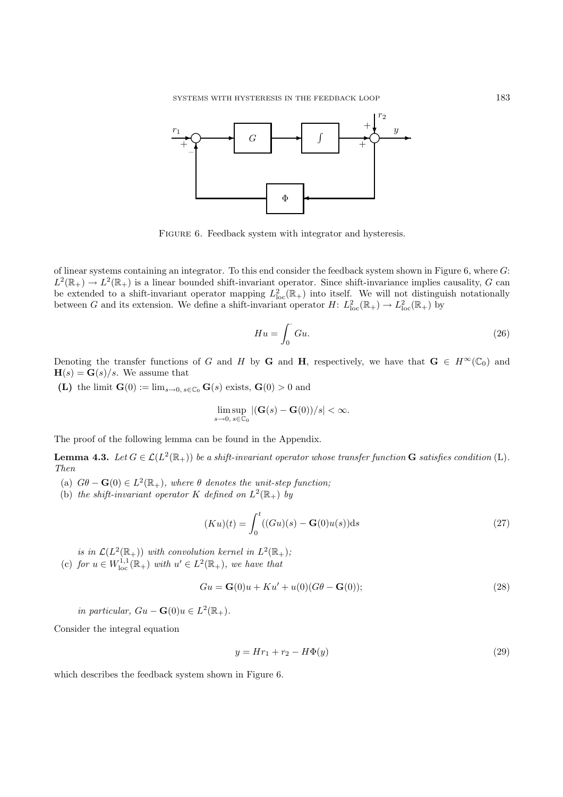

FIGURE 6. Feedback system with integrator and hysteresis.

of linear systems containing an integrator. To this end consider the feedback system shown in Figure 6, where G:  $L^2(\mathbb{R}_+) \to L^2(\mathbb{R}_+)$  is a linear bounded shift-invariant operator. Since shift-invariance implies causality, G can be extended to a shift-invariant operator mapping  $L^2_{loc}(\mathbb{R}_+)$  into itself. We will not distinguish notationally between G and its extension. We define a shift-invariant operator  $H: L^2_{loc}(\mathbb{R}_+) \to L^2_{loc}(\mathbb{R}_+)$  by

$$
Hu = \int_0^\cdot Gu. \tag{26}
$$

Denoting the transfer functions of G and H by **G** and **H**, respectively, we have that  $\mathbf{G} \in H^{\infty}(\mathbb{C}_{0})$  and  $H(s) = G(s)/s$ . We assume that

**(L)** the limit **G**(0) :=  $\lim_{s\to 0, s\in\mathbb{C}_0}$  **G**(s) exists, **G**(0) > 0 and

$$
\limsup_{s\to 0, s\in\mathbb{C}_0} |(\mathbf{G}(s)-\mathbf{G}(0))/s| < \infty.
$$

The proof of the following lemma can be found in the Appendix.

**Lemma 4.3.** *Let*  $G \in \mathcal{L}(L^2(\mathbb{R}_+))$  *be a shift-invariant operator whose transfer function* **G** *satisfies condition* (L). *Then*

- (a)  $G\theta \mathbf{G}(0) \in L^2(\mathbb{R}_+),$  where  $\theta$  denotes the unit-step function;
- (b) *the shift-invariant operator* K *defined on*  $L^2(\mathbb{R}_+)$  *by*

$$
(Ku)(t) = \int_0^t ((Gu)(s) - \mathbf{G}(0)u(s))ds
$$
\n(27)

*is in*  $\mathcal{L}(L^2(\mathbb{R}_+))$  *with convolution kernel in*  $L^2(\mathbb{R}_+);$ (c) for  $u \in W^{1,1}_{loc}(\mathbb{R}_+)$  with  $u' \in L^2(\mathbb{R}_+)$ , we have that

$$
Gu = \mathbf{G}(0)u + Ku' + u(0)(G\theta - \mathbf{G}(0));
$$
\n
$$
(28)
$$

*in particular,*  $Gu - \mathbf{G}(0)u \in L^2(\mathbb{R}_+).$ 

Consider the integral equation

$$
y = Hr_1 + r_2 - H\Phi(y) \tag{29}
$$

which describes the feedback system shown in Figure 6.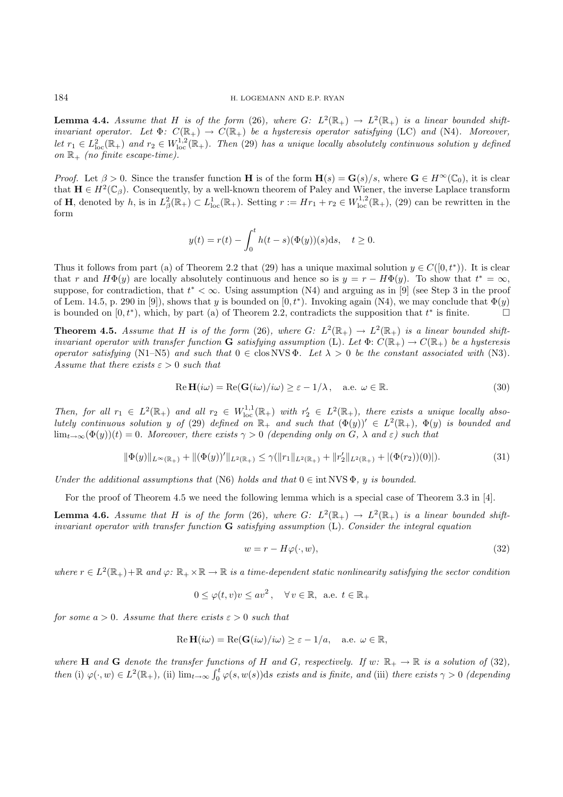**Lemma 4.4.** *Assume that* H *is of the form* (26)*, where* G:  $L^2(\mathbb{R}_+) \to L^2(\mathbb{R}_+)$  *is a linear bounded shiftinvariant operator.* Let  $\Phi$ :  $C(\mathbb{R}_+) \to C(\mathbb{R}_+)$  be a hysteresis operator satisfying (LC) and (N4). Moreover,  $let \ r_1 \in L^2_{loc}(\mathbb{R}_+) \ and \ r_2 \in W^{1,2}_{loc}(\mathbb{R}_+).$  Then (29) has a unique locally absolutely continuous solution y defined *on* R<sup>+</sup> *(no finite escape-time).*

*Proof.* Let  $\beta > 0$ . Since the transfer function **H** is of the form  $\mathbf{H}(s) = \mathbf{G}(s)/s$ , where  $\mathbf{G} \in H^{\infty}(\mathbb{C}_0)$ , it is clear that  $\mathbf{H} \in H^2(\mathbb{C}_{\beta})$ . Consequently, by a well-known theorem of Paley and Wiener, the inverse Laplace transform of **H**, denoted by h, is in  $L^2_{\beta}(\mathbb{R}_+) \subset L^1_{loc}(\mathbb{R}_+)$ . Setting  $r := Hr_1 + r_2 \in W^{1,2}_{loc}(\mathbb{R}_+)$ , (29) can be rewritten in the form

$$
y(t) = r(t) - \int_0^t h(t-s)(\Phi(y))(s)ds, \quad t \ge 0.
$$

Thus it follows from part (a) of Theorem 2.2 that (29) has a unique maximal solution  $y \in C([0, t^*)$ ). It is clear that r and  $H\Phi(y)$  are locally absolutely continuous and hence so is  $y = r - H\Phi(y)$ . To show that  $t^* = \infty$ , suppose, for contradiction, that  $t^* < \infty$ . Using assumption (N4) and arguing as in [9] (see Step 3 in the proof of Lem. 14.5, p. 290 in [9]), shows that y is bounded on  $[0, t^*)$ . Invoking again (N4), we may conclude that  $\Phi(y)$ is bounded on  $[0, t^*)$ , which, by part (a) of Theorem 2.2, contradicts the supposition that  $t^*$  is finite.

**Theorem 4.5.** *Assume that* H *is of the form* (26)*, where* G:  $L^2(\mathbb{R}_+) \to L^2(\mathbb{R}_+)$  *is a linear bounded shiftinvariant operator with transfer function* **G** *satisfying assumption* (L). Let  $\Phi: C(\mathbb{R}_+) \to C(\mathbb{R}_+)$  *be a hysteresis operator satisfying* (N1–N5) *and such that*  $0 \in \text{clos NVS } \Phi$ *. Let*  $\lambda > 0$  *be the constant associated with* (N3)*. Assume that there exists*  $\varepsilon > 0$  *such that* 

$$
\text{Re } \mathbf{H}(i\omega) = \text{Re}(\mathbf{G}(i\omega)/i\omega) \ge \varepsilon - 1/\lambda, \quad \text{a.e. } \omega \in \mathbb{R}.
$$
 (30)

*Then, for all*  $r_1 \in L^2(\mathbb{R}_+)$  and all  $r_2 \in W^{1,1}_{loc}(\mathbb{R}_+)$  with  $r'_2 \in L^2(\mathbb{R}_+)$ , there exists a unique locally abso*lutely continuous solution* y of (29) *defined* on  $\mathbb{R}_+$  *and such that*  $(\Phi(y))' \in L^2(\mathbb{R}_+), \Phi(y)$  *is bounded and*  $\lim_{t\to\infty}(\Phi(y))(t)=0$ *. Moreover, there exists*  $\gamma>0$  *(depending only on*  $G$ *,*  $\lambda$  *and*  $\varepsilon$ *) such that* 

$$
\|\Phi(y)\|_{L^{\infty}(\mathbb{R}_+)} + \|(\Phi(y))'\|_{L^{2}(\mathbb{R}_+)} \leq \gamma(\|r_1\|_{L^{2}(\mathbb{R}_+)} + \|r_2'\|_{L^{2}(\mathbb{R}_+)} + |(\Phi(r_2))(0)|). \tag{31}
$$

*Under the additional assumptions that* (N6) *holds and that*  $0 \in \text{int NVS } \Phi$ , y *is bounded.* 

For the proof of Theorem 4.5 we need the following lemma which is a special case of Theorem 3.3 in [4].

**Lemma 4.6.** *Assume that* H *is of the form* (26)*, where* G:  $L^2(\mathbb{R}_+) \to L^2(\mathbb{R}_+)$  *is a linear bounded shiftinvariant operator with transfer function* **G** *satisfying assumption* (L)*. Consider the integral equation*

$$
w = r - H\varphi(\cdot, w),\tag{32}
$$

*where*  $r \in L^2(\mathbb{R}_+) + \mathbb{R}$  and  $\varphi: \mathbb{R}_+ \times \mathbb{R} \to \mathbb{R}$  is a time-dependent static nonlinearity satisfying the sector condition

$$
0 \le \varphi(t, v)v \le av^2
$$
,  $\forall v \in \mathbb{R}$ , a.e.  $t \in \mathbb{R}_+$ 

*for some*  $a > 0$ *. Assume that there exists*  $\varepsilon > 0$  *such that* 

$$
\operatorname{Re}\mathbf{H}(i\omega) = \operatorname{Re}(\mathbf{G}(i\omega)/i\omega) \ge \varepsilon - 1/a, \quad \text{a.e. } \omega \in \mathbb{R},
$$

*where* **H** and **G** denote the transfer functions of H and G, respectively. If  $w: \mathbb{R}_+ \to \mathbb{R}$  is a solution of (32),  $then (i) \varphi(\cdot, w) \in L^2(\mathbb{R}_+), (ii) \lim_{t \to \infty} \int_0^t \varphi(s, w(s)) \, ds \text{ exists and is finite, and (iii) there exists } \gamma > 0 \text{ (depending on the definition of } \mathbb{R}^+).$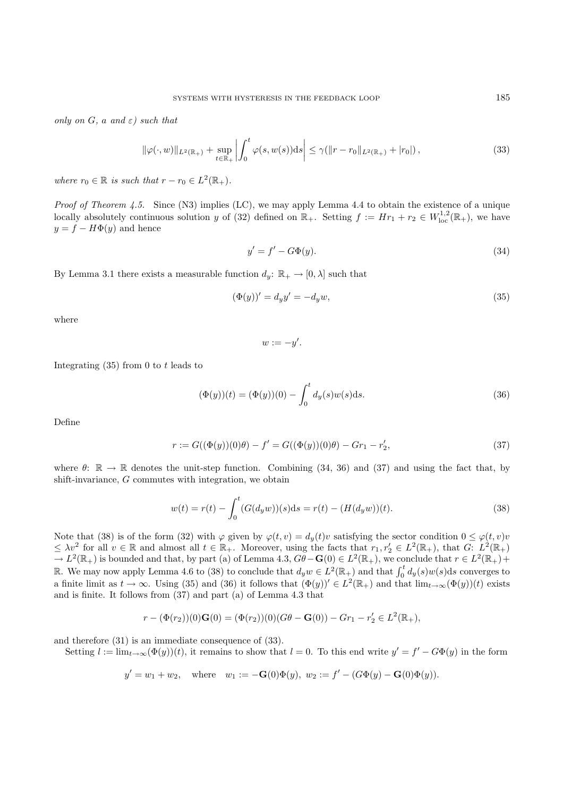*only on* G*,* a *and* ε*) such that*

$$
\|\varphi(\cdot,w)\|_{L^{2}(\mathbb{R}_{+})} + \sup_{t \in \mathbb{R}_{+}} \left| \int_{0}^{t} \varphi(s,w(s)) \mathrm{d}s \right| \leq \gamma(\|r - r_{0}\|_{L^{2}(\mathbb{R}_{+})} + |r_{0}|), \tag{33}
$$

*where*  $r_0 \in \mathbb{R}$  *is such that*  $r - r_0 \in L^2(\mathbb{R}_+).$ 

*Proof of Theorem 4.5.* Since (N3) implies (LC), we may apply Lemma 4.4 to obtain the existence of a unique locally absolutely continuous solution y of (32) defined on  $\mathbb{R}_+$ . Setting  $f := Hr_1 + r_2 \in W^{1,2}_{loc}(\mathbb{R}_+)$ , we have  $y = f - H\Phi(y)$  and hence

$$
y' = f' - G\Phi(y). \tag{34}
$$

By Lemma 3.1 there exists a measurable function  $d_y: \mathbb{R}_+ \to [0, \lambda]$  such that

$$
(\Phi(y))' = d_y y' = -d_y w,\tag{35}
$$

where

 $w := -y'.$ 

Integrating  $(35)$  from 0 to t leads to

$$
(\Phi(y))(t) = (\Phi(y))(0) - \int_0^t d_y(s)w(s)ds.
$$
\n(36)

Define

$$
r := G((\Phi(y))(0)\theta) - f' = G((\Phi(y))(0)\theta) - Gr_1 - r'_2,
$$
\n(37)

where  $\theta$ :  $\mathbb{R} \to \mathbb{R}$  denotes the unit-step function. Combining (34, 36) and (37) and using the fact that, by shift-invariance, G commutes with integration, we obtain

$$
w(t) = r(t) - \int_0^t (G(d_y w))(s)ds = r(t) - (H(d_y w))(t).
$$
\n(38)

Note that (38) is of the form (32) with  $\varphi$  given by  $\varphi(t, v) = d_y(t)v$  satisfying the sector condition  $0 \leq \varphi(t, v)v$  $\leq \lambda v^2$  for all  $v \in \mathbb{R}$  and almost all  $t \in \mathbb{R}_+$ . Moreover, using the facts that  $r_1, r_2 \in L^2(\mathbb{R}_+)$ , that  $G: L^2(\mathbb{R}_+)$  $\rightarrow L^2(\mathbb{R}_+)$  is bounded and that, by part (a) of Lemma 4.3,  $G\ddot{\theta} - \mathbf{G}(0) \in L^2(\mathbb{R}_+)$ , we conclude that  $r \in L^2(\mathbb{R}_+)$ + R. We may now apply Lemma 4.6 to (38) to conclude that  $d_y w \in L^2(\mathbb{R}_+)$  and that  $\int_0^t d_y(s)w(s)ds$  converges to a finite limit as  $t \to \infty$ . Using (35) and (36) it follows that  $(\Phi(y))' \in L^2(\mathbb{R}_+)$  and that  $\lim_{t\to\infty}(\Phi(y))(t)$  exists and is finite. It follows from (37) and part (a) of Lemma 4.3 that

$$
r - (\Phi(r_2))(0)\mathbf{G}(0) = (\Phi(r_2))(0)(G\theta - \mathbf{G}(0)) - Gr_1 - r'_2 \in L^2(\mathbb{R}_+),
$$

and therefore (31) is an immediate consequence of (33).

Setting  $l := \lim_{t\to\infty}(\Phi(y))(t)$ , it remains to show that  $l = 0$ . To this end write  $y' = f' - G\Phi(y)$  in the form

$$
y' = w_1 + w_2
$$
, where  $w_1 := -\mathbf{G}(0)\Phi(y)$ ,  $w_2 := f' - (G\Phi(y) - \mathbf{G}(0)\Phi(y))$ .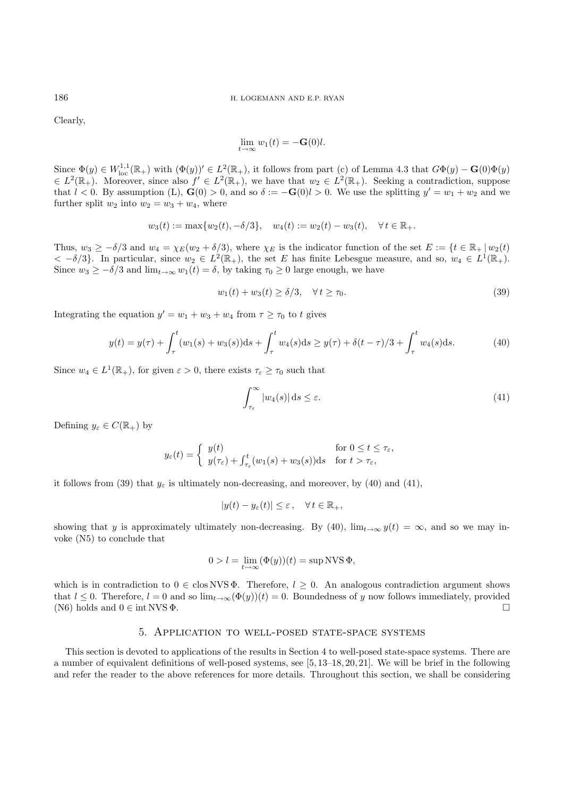Clearly,

$$
\lim_{t \to \infty} w_1(t) = -\mathbf{G}(0)l.
$$

Since  $\Phi(y) \in W^{1,1}_{loc}(\mathbb{R}_+)$  with  $(\Phi(y))' \in L^2(\mathbb{R}_+),$  it follows from part (c) of Lemma 4.3 that  $G\Phi(y) - \mathbf{G}(0)\Phi(y)$  $\epsilon L^2(\mathbb{R}_+).$  Moreover, since also  $f' \in L^2(\mathbb{R}_+),$  we have that  $w_2 \in L^2(\mathbb{R}_+).$  Seeking a contradiction, suppose that  $l < 0$ . By assumption (L), **G**(0) > 0, and so  $\delta := -\mathbf{G}(0)l > 0$ . We use the splitting  $y' = w_1 + w_2$  and we further split  $w_2$  into  $w_2 = w_3 + w_4$ , where

$$
w_3(t) := \max\{w_2(t), -\delta/3\}, \quad w_4(t) := w_2(t) - w_3(t), \quad \forall t \in \mathbb{R}_+.
$$

Thus,  $w_3 \geq -\delta/3$  and  $w_4 = \chi_E(w_2 + \delta/3)$ , where  $\chi_E$  is the indicator function of the set  $E := \{t \in \mathbb{R}_+ | w_2(t) \}$  $< -\delta/3$ . In particular, since  $w_2 \in L^2(\mathbb{R}_+),$  the set E has finite Lebesgue measure, and so,  $w_4 \in L^1(\mathbb{R}_+).$ Since  $w_3 \geq -\delta/3$  and  $\lim_{t\to\infty} w_1(t) = \delta$ , by taking  $\tau_0 \geq 0$  large enough, we have

$$
w_1(t) + w_3(t) \ge \delta/3, \quad \forall \, t \ge \tau_0. \tag{39}
$$

Integrating the equation  $y' = w_1 + w_3 + w_4$  from  $\tau \geq \tau_0$  to t gives

$$
y(t) = y(\tau) + \int_{\tau}^{t} (w_1(s) + w_3(s))ds + \int_{\tau}^{t} w_4(s)ds \ge y(\tau) + \delta(t - \tau)/3 + \int_{\tau}^{t} w_4(s)ds.
$$
 (40)

Since  $w_4 \in L^1(\mathbb{R}_+),$  for given  $\varepsilon > 0$ , there exists  $\tau_{\varepsilon} \geq \tau_0$  such that

$$
\int_{\tau_{\varepsilon}}^{\infty} |w_4(s)| \, \mathrm{d}s \le \varepsilon. \tag{41}
$$

Defining  $y_{\varepsilon} \in C(\mathbb{R}_{+})$  by

$$
y_{\varepsilon}(t) = \begin{cases} y(t) & \text{for } 0 \le t \le \tau_{\varepsilon}, \\ y(\tau_{\varepsilon}) + \int_{\tau_{\varepsilon}}^t (w_1(s) + w_3(s)) \mathrm{d}s & \text{for } t > \tau_{\varepsilon}, \end{cases}
$$

it follows from (39) that  $y_{\varepsilon}$  is ultimately non-decreasing, and moreover, by (40) and (41),

$$
|y(t) - y_{\varepsilon}(t)| \le \varepsilon \,, \quad \forall \, t \in \mathbb{R}_+,
$$

showing that y is approximately ultimately non-decreasing. By (40),  $\lim_{t\to\infty} y(t) = \infty$ , and so we may invoke (N5) to conclude that

$$
0 > l = \lim_{t \to \infty} (\Phi(y))(t) = \sup NVS \Phi,
$$

which is in contradiction to  $0 \in \text{clos NVS } \Phi$ . Therefore,  $l \geq 0$ . An analogous contradiction argument shows that  $l \le 0$ . Therefore,  $l = 0$  and so  $\lim_{t\to\infty}(\Phi(y))(t) = 0$ . Boundedness of y now follows immediately, provided (N6) holds and  $0 \in \text{int NVS }\Phi$ . (N6) holds and  $0 \in \text{int NVS } \Phi$ .

## 5. Application to well-posed state-space systems

This section is devoted to applications of the results in Section 4 to well-posed state-space systems. There are a number of equivalent definitions of well-posed systems, see [5, 13–18, 20, 21]. We will be brief in the following and refer the reader to the above references for more details. Throughout this section, we shall be considering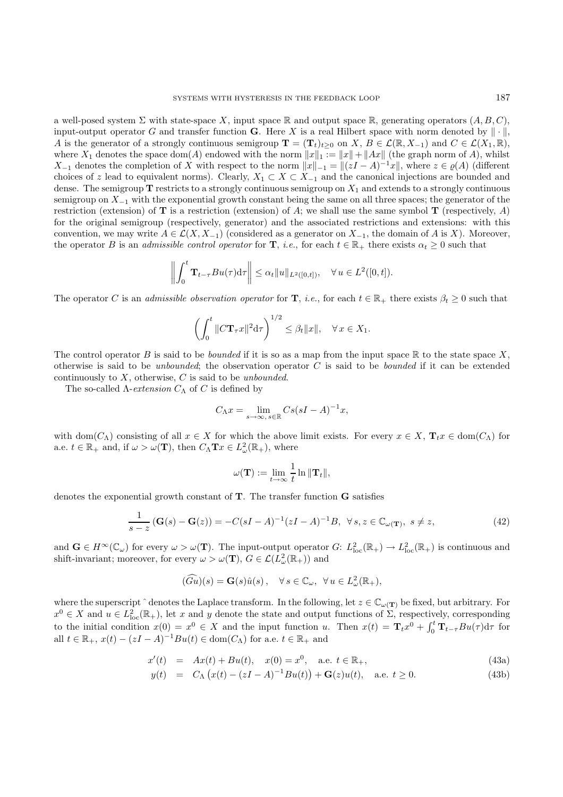a well-posed system  $\Sigma$  with state-space X, input space R and output space R, generating operators  $(A, B, C)$ , input-output operator G and transfer function **G**. Here X is a real Hilbert space with norm denoted by  $\|\cdot\|$ , A is the generator of a strongly continuous semigroup  $\mathbf{T} = (\mathbf{T}_t)_{t\geq 0}$  on X,  $B \in \mathcal{L}(\mathbb{R}, X_{-1})$  and  $C \in \mathcal{L}(X_1, \mathbb{R}),$ where  $X_1$  denotes the space dom(A) endowed with the norm  $||x||_1 := ||x|| + ||Ax||$  (the graph norm of A), whilst  $X_{-1}$  denotes the completion of X with respect to the norm  $||x||_{-1} = ||(zI - A)^{-1}x||$ , where  $z \in \varrho(A)$  (different choices of z lead to equivalent norms). Clearly,  $X_1 \subset X \subset X_{-1}$  and the canonical injections are bounded and dense. The semigroup  $\bf{T}$  restricts to a strongly continuous semigroup on  $X_1$  and extends to a strongly continuous semigroup on  $X_{-1}$  with the exponential growth constant being the same on all three spaces; the generator of the restriction (extension) of **T** is a restriction (extension) of A; we shall use the same symbol **T** (respectively, A) for the original semigroup (respectively, generator) and the associated restrictions and extensions: with this convention, we may write  $A \in \mathcal{L}(X, X_{-1})$  (considered as a generator on  $X_{-1}$ , the domain of A is X). Moreover, the operator B is an *admissible control operator* for **T**, *i.e.*, for each  $t \in \mathbb{R}_+$  there exists  $\alpha_t > 0$  such that

$$
\left\| \int_0^t \mathbf{T}_{t-\tau} B u(\tau) d\tau \right\| \leq \alpha_t \|u\|_{L^2([0,t])}, \quad \forall u \in L^2([0,t]).
$$

The operator C is an *admissible observation operator* for **T**, *i.e.*, for each  $t \in \mathbb{R}_+$  there exists  $\beta_t \geq 0$  such that

$$
\left(\int_0^t \|C\mathbf{T}_{\tau}x\|^2 \mathrm{d}\tau\right)^{1/2} \leq \beta_t \|x\|, \quad \forall \, x \in X_1.
$$

The control operator B is said to be *bounded* if it is so as a map from the input space  $\mathbb R$  to the state space X, otherwise is said to be *unbounded*; the observation operator C is said to be *bounded* if it can be extended continuously to X, otherwise, C is said to be *unbounded*.

The so-called  $\Lambda$ -*extension*  $C_{\Lambda}$  of C is defined by

$$
C_{\Lambda}x = \lim_{s \to \infty, s \in \mathbb{R}} Cs(sI - A)^{-1}x,
$$

with dom $(C_\Lambda)$  consisting of all  $x \in X$  for which the above limit exists. For every  $x \in X$ ,  $\mathbf{T}_t x \in \text{dom}(C_\Lambda)$  for a.e.  $t \in \mathbb{R}_+$  and, if  $\omega > \omega(\mathbf{T})$ , then  $C_{\Lambda} \mathbf{T} x \in L^2_{\omega}(\mathbb{R}_+)$ , where

$$
\omega(\mathbf{T}) := \lim_{t \to \infty} \frac{1}{t} \ln \|\mathbf{T}_t\|,
$$

denotes the exponential growth constant of **T**. The transfer function **G** satisfies

$$
\frac{1}{s-z} \left( \mathbf{G}(s) - \mathbf{G}(z) \right) = -C(sI - A)^{-1} (zI - A)^{-1}B, \ \ \forall \, s, z \in \mathbb{C}_{\omega(\mathbf{T})}, \ s \neq z,
$$
\n(42)

and  $\mathbf{G} \in H^{\infty}(\mathbb{C}_{\omega})$  for every  $\omega > \omega(\mathbf{T})$ . The input-output operator  $G: L^2_{loc}(\mathbb{R}_+) \to L^2_{loc}(\mathbb{R}_+)$  is continuous and shift-invariant; moreover, for every  $\omega > \omega(\mathbf{T}), G \in \mathcal{L}(L^2_{\omega}(\mathbb{R}_+))$  and

$$
(\widehat{Gu})(s) = \mathbf{G}(s)\hat{u}(s), \quad \forall s \in \mathbb{C}_{\omega}, \ \forall u \in L^2_{\omega}(\mathbb{R}_+),
$$

where the superscript  $\hat{ }$  denotes the Laplace transform. In the following, let  $z \in \mathbb{C}_{\omega(\mathbf{T})}$  be fixed, but arbitrary. For  $x^0 \in X$  and  $u \in L^2_{loc}(\mathbb{R}_+)$ , let x and y denote the state and output functions of  $\Sigma$ , respectively, corresponding to the initial condition  $x(0) = x^0 \in X$  and the input function u. Then  $x(t) = \mathbf{T}_t x^0 + \int_0^t \mathbf{T}_{t-\tau} B u(\tau) d\tau$  for all  $t \in \mathbb{R}_+$ ,  $x(t) - (zI - A)^{-1}Bu(t) \in \text{dom}(C_{\Lambda})$  for a.e.  $t \in \mathbb{R}_+$  and

$$
x'(t) = Ax(t) + Bu(t), \quad x(0) = x^0, \quad \text{a.e. } t \in \mathbb{R}_+, \tag{43a}
$$

$$
y(t) = C_{\Lambda} (x(t) - (zI - A)^{-1}Bu(t)) + G(z)u(t), \text{ a.e. } t \ge 0.
$$
 (43b)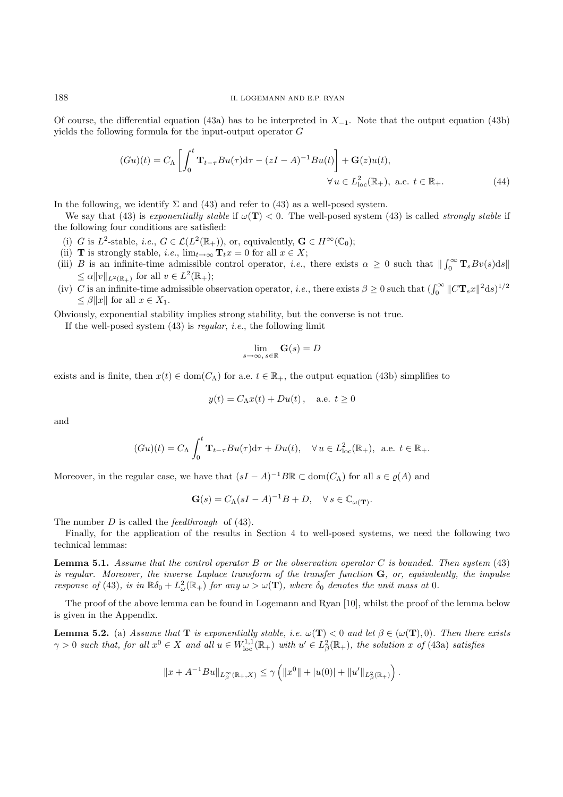Of course, the differential equation (43a) has to be interpreted in  $X_{-1}$ . Note that the output equation (43b) yields the following formula for the input-output operator G

$$
(Gu)(t) = C_{\Lambda} \left[ \int_0^t \mathbf{T}_{t-\tau} B u(\tau) d\tau - (zI - A)^{-1} B u(t) \right] + \mathbf{G}(z) u(t),
$$
  

$$
\forall u \in L^2_{loc}(\mathbb{R}_+), \text{ a.e. } t \in \mathbb{R}_+.
$$
 (44)

In the following, we identify  $\Sigma$  and (43) and refer to (43) as a well-posed system.

We say that (43) is *exponentially stable* if  $\omega(T) < 0$ . The well-posed system (43) is called *strongly stable* if the following four conditions are satisfied:

- (i) G is L<sup>2</sup>-stable, *i.e.*,  $G \in \mathcal{L}(L^2(\mathbb{R}_+))$ , or, equivalently,  $\mathbf{G} \in H^\infty(\mathbb{C}_0)$ ;
- (ii) **T** is strongly stable, *i.e.*,  $\lim_{t\to\infty} \mathbf{T}_t x = 0$  for all  $x \in X$ ;
- (iii) B is an infinite-time admissible control operator, *i.e.*, there exists  $\alpha \geq 0$  such that  $\|\int_0^\infty \mathbf{T}_s Bv(s) ds\|$  $\leq \alpha \|v\|_{L^2(\mathbb{R}_+)}$  for all  $v \in L^2(\mathbb{R}_+);$
- (iv) C is an infinite-time admissible observation operator, *i.e.*, there exists  $\beta \ge 0$  such that  $(\int_0^\infty \|C\mathbf{T}_s x\|^2 ds)^{1/2}$  $\leq \beta \|x\|$  for all  $x \in X_1$ .

Obviously, exponential stability implies strong stability, but the converse is not true.

If the well-posed system (43) is *regular*, *i.e.*, the following limit

$$
\lim_{s\to\infty,\,s\in\mathbb{R}}\mathbf{G}(s)=D
$$

exists and is finite, then  $x(t) \in \text{dom}(C_{\Lambda})$  for a.e.  $t \in \mathbb{R}_{+}$ , the output equation (43b) simplifies to

$$
y(t) = C_{\Lambda}x(t) + Du(t), \quad \text{a.e. } t \ge 0
$$

and

$$
(Gu)(t) = C_{\Lambda} \int_0^t \mathbf{T}_{t-\tau} Bu(\tau) d\tau + Du(t), \quad \forall u \in L^2_{\text{loc}}(\mathbb{R}_+), \text{ a.e. } t \in \mathbb{R}_+.
$$

Moreover, in the regular case, we have that  $(sI - A)^{-1}B\mathbb{R} \subset \text{dom}(C_A)$  for all  $s \in \rho(A)$  and

$$
\mathbf{G}(s) = C_{\Lambda}(sI - A)^{-1}B + D, \quad \forall s \in \mathbb{C}_{\omega(\mathbf{T})}.
$$

The number D is called the *feedthrough* of (43).

Finally, for the application of the results in Section 4 to well-posed systems, we need the following two technical lemmas:

**Lemma 5.1.** *Assume that the control operator* B *or the observation operator* C *is bounded. Then system* (43) *is regular. Moreover, the inverse Laplace transform of the transfer function* **G***, or, equivalently, the impulse response of* (43), *is in*  $\mathbb{R}\delta_0 + L^2(\mathbb{R}_+)$  *for any*  $\omega > \omega(\mathbf{T})$ *, where*  $\delta_0$  *denotes the unit mass at* 0*.* 

The proof of the above lemma can be found in Logemann and Ryan [10], whilst the proof of the lemma below is given in the Appendix.

**Lemma 5.2.** (a) *Assume that* **T** *is exponentially stable, i.e.*  $\omega(\mathbf{T}) < 0$  *and let*  $\beta \in (\omega(\mathbf{T}), 0)$ *. Then there exists*  $\gamma > 0$  such that, for all  $x^0 \in X$  and all  $u \in W^{1,1}_{loc}(\mathbb{R}_+)$  with  $u' \in L^2_\beta(\mathbb{R}_+)$ , the solution x of (43a) satisfies

$$
||x + A^{-1}Bu||_{L^{\infty}_{\beta}(\mathbb{R}_+,X)} \leq \gamma \left( ||x^0|| + |u(0)| + ||u'||_{L^2_{\beta}(\mathbb{R}_+)} \right).
$$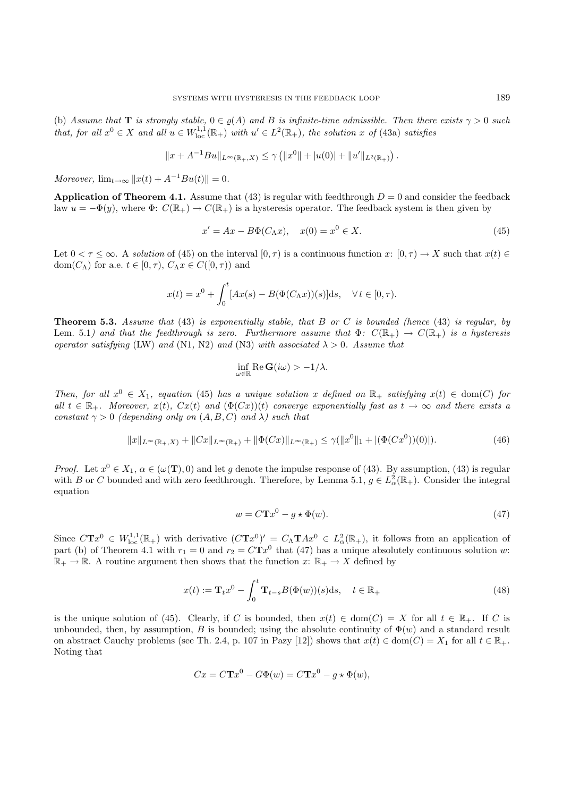(b) Assume that **T** is strongly stable,  $0 \in \varrho(A)$  and B is infinite-time admissible. Then there exists  $\gamma > 0$  such *that, for all*  $x^0 \in X$  *and all*  $u \in W_{loc}^{1,1}(\mathbb{R}_+)$  *with*  $u' \in L^2(\mathbb{R}_+)$ *, the solution* x of (43a) *satisfies* 

$$
||x + A^{-1}Bu||_{L^{\infty}(\mathbb{R}_+, X)} \le \gamma \left( ||x^0|| + |u(0)| + ||u'||_{L^2(\mathbb{R}_+)} \right).
$$

*Moreover,*  $\lim_{t \to \infty} ||x(t) + A^{-1}Bu(t)|| = 0.$ 

**Application of Theorem 4.1.** Assume that (43) is regular with feedthrough  $D = 0$  and consider the feedback law  $u = -\Phi(y)$ , where  $\Phi: C(\mathbb{R}_+) \to C(\mathbb{R}_+)$  is a hysteresis operator. The feedback system is then given by

$$
x' = Ax - B\Phi(C_\Lambda x), \quad x(0) = x^0 \in X.
$$
\n
$$
(45)
$$

Let  $0 < \tau \leq \infty$ . A *solution* of (45) on the interval  $[0, \tau)$  is a continuous function x:  $[0, \tau) \to X$  such that  $x(t) \in$ dom $(C_\Lambda)$  for a.e.  $t \in [0, \tau)$ ,  $C_\Lambda x \in C([0, \tau))$  and

$$
x(t) = x^{0} + \int_{0}^{t} [Ax(s) - B(\Phi(C_{\Lambda}x))(s)]ds, \quad \forall t \in [0, \tau).
$$

**Theorem 5.3.** *Assume that* (43) *is exponentially stable, that* B *or* C *is bounded (hence* (43) *is regular, by* Lem. 5.1) and that the feedthrough is zero. Furthermore assume that  $\Phi: C(\mathbb{R}_+) \to C(\mathbb{R}_+)$  is a hysteresis *operator satisfying* (LW) *and* (N1, N2) *and* (N3) *with associated*  $\lambda > 0$ *. Assume that* 

$$
\inf_{\omega \in \mathbb{R}} \text{Re } \mathbf{G}(i\omega) > -1/\lambda.
$$

*Then, for all*  $x^0 \in X_1$ , equation (45) has a unique solution x defined on  $\mathbb{R}_+$  satisfying  $x(t) \in \text{dom}(C)$  for  $all \ t \in \mathbb{R}_+$ *. Moreover,*  $x(t)$ *,*  $Cx(t)$  *and*  $(\Phi(Cx))(t)$  *converge exponentially fast as*  $t \to \infty$  *and there exists a constant*  $\gamma > 0$  *(depending only on*  $(A, B, C)$  *and*  $\lambda$ *) such that* 

$$
||x||_{L^{\infty}(\mathbb{R}_+,X)} + ||Cx||_{L^{\infty}(\mathbb{R}_+)} + ||\Phi(Cx)||_{L^{\infty}(\mathbb{R}_+)} \leq \gamma(||x^0||_1 + |(\Phi(Cx^0))(0)|). \tag{46}
$$

*Proof.* Let  $x^0 \in X_1$ ,  $\alpha \in (\omega(\mathbf{T}), 0)$  and let g denote the impulse response of (43). By assumption, (43) is regular with B or C bounded and with zero feedthrough. Therefore, by Lemma 5.1,  $g \in L^2_\alpha(\mathbb{R}_+)$ . Consider the integral equation

$$
w = C\mathbf{T}x^0 - g \star \Phi(w). \tag{47}
$$

Since  $CTx^0 \in W^{1,1}_{loc}(\mathbb{R}_+)$  with derivative  $(CTx^0)' = C_\Lambda T Ax^0 \in L^2_\alpha(\mathbb{R}_+),$  it follows from an application of part (b) of Theorem 4.1 with  $r_1 = 0$  and  $r_2 = C T x^0$  that (47) has a unique absolutely continuous solution w:  $\mathbb{R}_+ \to \mathbb{R}$ . A routine argument then shows that the function  $x: \mathbb{R}_+ \to X$  defined by

$$
x(t) := \mathbf{T}_t x^0 - \int_0^t \mathbf{T}_{t-s} B(\Phi(w))(s) \, ds, \quad t \in \mathbb{R}_+ \tag{48}
$$

is the unique solution of (45). Clearly, if C is bounded, then  $x(t) \in \text{dom}(C) = X$  for all  $t \in \mathbb{R}_+$ . If C is unbounded, then, by assumption, B is bounded; using the absolute continuity of  $\Phi(w)$  and a standard result on abstract Cauchy problems (see Th. 2.4, p. 107 in Pazy [12]) shows that  $x(t) \in \text{dom}(C) = X_1$  for all  $t \in \mathbb{R}_+$ . Noting that

$$
Cx = C\mathbf{T}x^{0} - G\Phi(w) = C\mathbf{T}x^{0} - g \star \Phi(w),
$$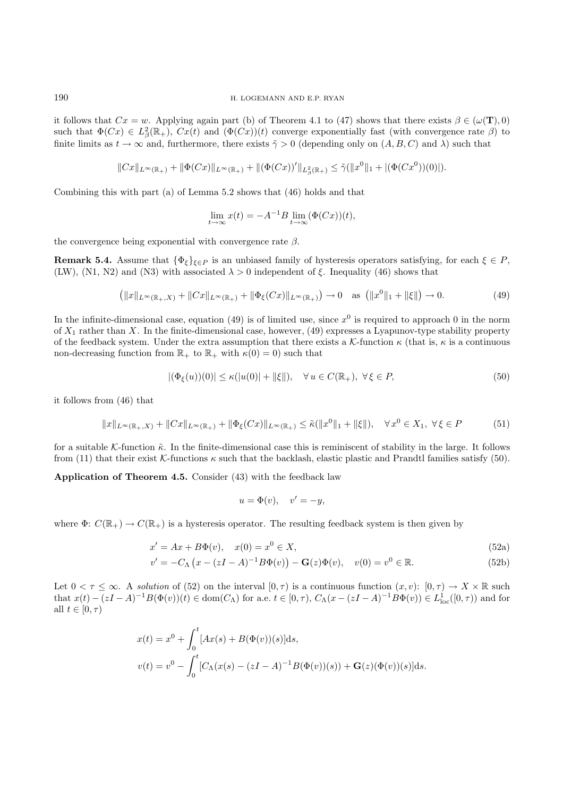it follows that  $Cx = w$ . Applying again part (b) of Theorem 4.1 to (47) shows that there exists  $\beta \in (\omega(\mathbf{T}), 0)$ such that  $\Phi(Cx) \in L^2_\beta(\mathbb{R}_+), Cx(t)$  and  $(\Phi(Cx))(t)$  converge exponentially fast (with convergence rate  $\beta$ ) to finite limits as  $t \to \infty$  and, furthermore, there exists  $\tilde{\gamma} > 0$  (depending only on  $(A, B, C)$  and  $\lambda$ ) such that

$$
\|Cx\|_{L^\infty(\mathbb{R}_+)}+\|\Phi(Cx)\|_{L^\infty(\mathbb{R}_+)}+\|(\Phi(Cx))'\|_{L^2_\beta(\mathbb{R}_+)}\leq \tilde{\gamma}(\|x^0\|_1+|(\Phi(Cx^0))(0)|).
$$

Combining this with part (a) of Lemma 5.2 shows that (46) holds and that

$$
\lim_{t \to \infty} x(t) = -A^{-1}B \lim_{t \to \infty} (\Phi(Cx))(t),
$$

the convergence being exponential with convergence rate  $\beta$ .

**Remark 5.4.** Assume that  $\{\Phi_{\xi}\}_{\xi \in P}$  is an unbiased family of hysteresis operators satisfying, for each  $\xi \in P$ , (LW), (N1, N2) and (N3) with associated  $\lambda > 0$  independent of  $\xi$ . Inequality (46) shows that

$$
(\|x\|_{L^{\infty}(\mathbb{R}_+,X)} + \|Cx\|_{L^{\infty}(\mathbb{R}_+)} + \|\Phi_{\xi}(Cx)\|_{L^{\infty}(\mathbb{R}_+)} ) \to 0 \quad \text{as } \left(\|x^0\|_1 + \|\xi\|\right) \to 0. \tag{49}
$$

In the infinite-dimensional case, equation (49) is of limited use, since  $x^0$  is required to approach 0 in the norm of  $X_1$  rather than X. In the finite-dimensional case, however, (49) expresses a Lyapunov-type stability property of the feedback system. Under the extra assumption that there exists a K-function  $\kappa$  (that is,  $\kappa$  is a continuous non-decreasing function from  $\mathbb{R}_+$  to  $\mathbb{R}_+$  with  $\kappa(0) = 0$ ) such that

$$
|(\Phi_{\xi}(u))(0)| \le \kappa(|u(0)| + ||\xi||), \quad \forall u \in C(\mathbb{R}_+), \ \forall \xi \in P,
$$
\n
$$
(50)
$$

it follows from (46) that

$$
||x||_{L^{\infty}(\mathbb{R}_+,X)} + ||Cx||_{L^{\infty}(\mathbb{R}_+)} + ||\Phi_{\xi}(Cx)||_{L^{\infty}(\mathbb{R}_+)} \leq \tilde{\kappa}(||x^0||_1 + ||\xi||), \quad \forall x^0 \in X_1, \ \forall \xi \in P
$$
 (51)

for a suitable K-function  $\tilde{\kappa}$ . In the finite-dimensional case this is reminiscent of stability in the large. It follows from (11) that their exist K-functions  $\kappa$  such that the backlash, elastic plastic and Prandtl families satisfy (50).

**Application of Theorem 4.5.** Consider (43) with the feedback law

$$
u = \Phi(v), \quad v' = -y,
$$

where  $\Phi: C(\mathbb{R}_+) \to C(\mathbb{R}_+)$  is a hysteresis operator. The resulting feedback system is then given by

$$
x' = Ax + B\Phi(v), \quad x(0) = x^0 \in X,\tag{52a}
$$

$$
v' = -C_{\Lambda} (x - (zI - A)^{-1} B\Phi(v)) - G(z)\Phi(v), \quad v(0) = v^{0} \in \mathbb{R}.
$$
 (52b)

Let  $0 < \tau \leq \infty$ . A *solution* of (52) on the interval  $[0, \tau)$  is a continuous function  $(x, v)$ :  $[0, \tau) \to X \times \mathbb{R}$  such that  $x(t) - (zI - A)^{-1}B(\Phi(v))(t) \in \text{dom}(C_{\Lambda})$  for a.e.  $t \in [0, \tau)$ ,  $C_{\Lambda}(x - (zI - A)^{-1}B\Phi(v)) \in L^1_{loc}([0, \tau))$  and for all  $t \in [0, \tau)$ 

$$
x(t) = x^{0} + \int_{0}^{t} [Ax(s) + B(\Phi(v))(s)]ds,
$$
  

$$
v(t) = v^{0} - \int_{0}^{t} [C_{\Lambda}(x(s) - (zI - A)^{-1}B(\Phi(v))(s)) + \mathbf{G}(z)(\Phi(v))(s)]ds.
$$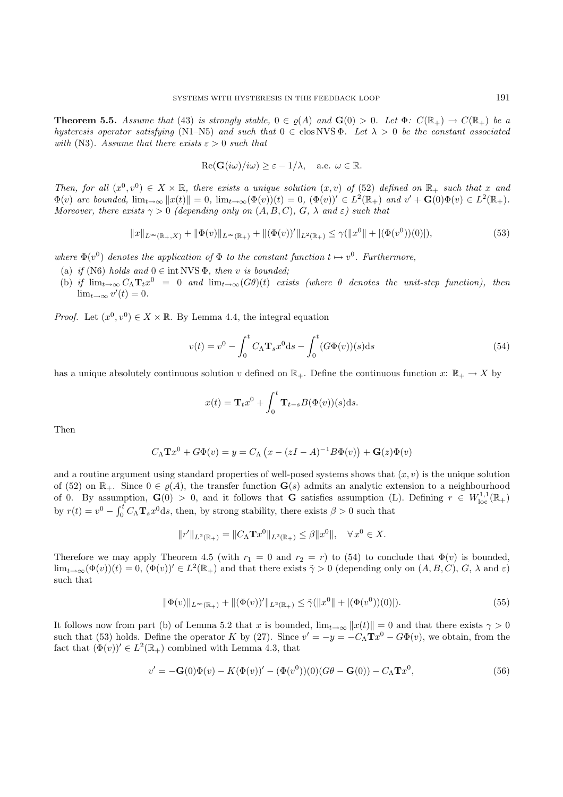**Theorem 5.5.** *Assume that* (43) *is strongly stable,*  $0 \in \rho(A)$  *and*  $\mathbf{G}(0) > 0$ *. Let*  $\Phi$ *:*  $C(\mathbb{R}_+) \to C(\mathbb{R}_+)$  *be a hysteresis operator satisfying* (N1–N5) *and such that*  $0 \in \text{clos NVS } \Phi$ *. Let*  $\lambda > 0$  *be the constant associated with* (N3). Assume that there exists  $\varepsilon > 0$  *such that* 

$$
\operatorname{Re}(\mathbf{G}(i\omega)/i\omega) \geq \varepsilon - 1/\lambda, \quad \text{a.e. } \omega \in \mathbb{R}.
$$

*Then, for all*  $(x^0, v^0) \in X \times \mathbb{R}$ *, there exists a unique solution*  $(x, v)$  *of* (52) *defined on*  $\mathbb{R}_+$  *such that* x and  $\Phi(v)$  are bounded,  $\lim_{t\to\infty} ||x(t)|| = 0$ ,  $\lim_{t\to\infty} (\Phi(v))(t) = 0$ ,  $(\Phi(v))' \in L^2(\mathbb{R}_+)$  and  $v' + \mathbf{G}(0)\Phi(v) \in L^2(\mathbb{R}_+)$ . *Moreover, there exists*  $\gamma > 0$  *(depending only on*  $(A, B, C), G, \lambda$  *and*  $\varepsilon$ *) such that* 

$$
||x||_{L^{\infty}(\mathbb{R}_+,X)} + ||\Phi(v)||_{L^{\infty}(\mathbb{R}_+)} + ||(\Phi(v))'||_{L^2(\mathbb{R}_+)} \le \gamma(||x^0|| + |(\Phi(v^0))(0)|),
$$
\n(53)

*where*  $\Phi(v^0)$  *denotes the application of*  $\Phi$  *to the constant function*  $t \mapsto v^0$ *. Furthermore,* 

- (a) *if* (N6) *holds* and  $0 \in \text{int NVS } \Phi$ , *then v is bounded*:
- (b) *if*  $\lim_{t\to\infty} C_{\Lambda} T_t x^0 = 0$  *and*  $\lim_{t\to\infty} (G\theta)(t)$  *exists (where*  $\theta$  *denotes the unit-step function), then*  $\lim_{t\to\infty} v'(t)=0.$

*Proof.* Let  $(x^0, v^0) \in X \times \mathbb{R}$ . By Lemma 4.4, the integral equation

$$
v(t) = v^0 - \int_0^t C_{\Lambda} \mathbf{T}_s x^0 \, \mathrm{d}s - \int_0^t (G \Phi(v))(s) \, \mathrm{d}s \tag{54}
$$

has a unique absolutely continuous solution v defined on  $\mathbb{R}_+$ . Define the continuous function x:  $\mathbb{R}_+ \to X$  by

$$
x(t) = \mathbf{T}_t x^0 + \int_0^t \mathbf{T}_{t-s} B(\Phi(v))(s) \mathrm{d} s.
$$

Then

$$
C_{\Lambda} \mathbf{T} x^0 + G \Phi(v) = y = C_{\Lambda} (x - (zI - A)^{-1} B \Phi(v)) + \mathbf{G}(z) \Phi(v)
$$

and a routine argument using standard properties of well-posed systems shows that  $(x, v)$  is the unique solution of (52) on  $\mathbb{R}_+$ . Since  $0 \in \varrho(A)$ , the transfer function  $\mathbf{G}(s)$  admits an analytic extension to a neighbourhood of 0. By assumption,  $\mathbf{G}(0) > 0$ , and it follows that **G** satisfies assumption (L). Defining  $r \in W^{1,1}_{loc}(\mathbb{R}_+)$ by  $r(t) = v^0 - \int_0^t C_{\Lambda} \mathbf{T}_s x^0 ds$ , then, by strong stability, there exists  $\beta > 0$  such that

$$
||r'||_{L^{2}(\mathbb{R}_{+})} = ||C_{\Lambda} \mathbf{T}x^{0}||_{L^{2}(\mathbb{R}_{+})} \leq \beta ||x^{0}||, \quad \forall x^{0} \in X.
$$

Therefore we may apply Theorem 4.5 (with  $r_1 = 0$  and  $r_2 = r$ ) to (54) to conclude that  $\Phi(v)$  is bounded,  $\lim_{t\to\infty}(\Phi(v))(t)=0$ ,  $(\Phi(v))'\in L^2(\mathbb{R}_+)$  and that there exists  $\tilde{\gamma}>0$  (depending only on  $(A, B, C), G, \lambda$  and  $\varepsilon$ ) such that

$$
\|\Phi(v)\|_{L^{\infty}(\mathbb{R}_+)} + \|(\Phi(v))'\|_{L^2(\mathbb{R}_+)} \le \tilde{\gamma}(\|x^0\| + |(\Phi(v^0))(0)|). \tag{55}
$$

It follows now from part (b) of Lemma 5.2 that x is bounded,  $\lim_{t\to\infty} ||x(t)|| = 0$  and that there exists  $\gamma > 0$ such that (53) holds. Define the operator K by (27). Since  $v' = -y = -C<sub>A</sub>$ **T** $x<sup>0</sup> - G\Phi(v)$ , we obtain, from the fact that  $(\Phi(v))' \in L^2(\mathbb{R}_+)$  combined with Lemma 4.3, that

$$
v' = -G(0)\Phi(v) - K(\Phi(v))' - (\Phi(v^{0}))(0)(G\theta - G(0)) - C_{\Lambda}Tx^{0},
$$
\n(56)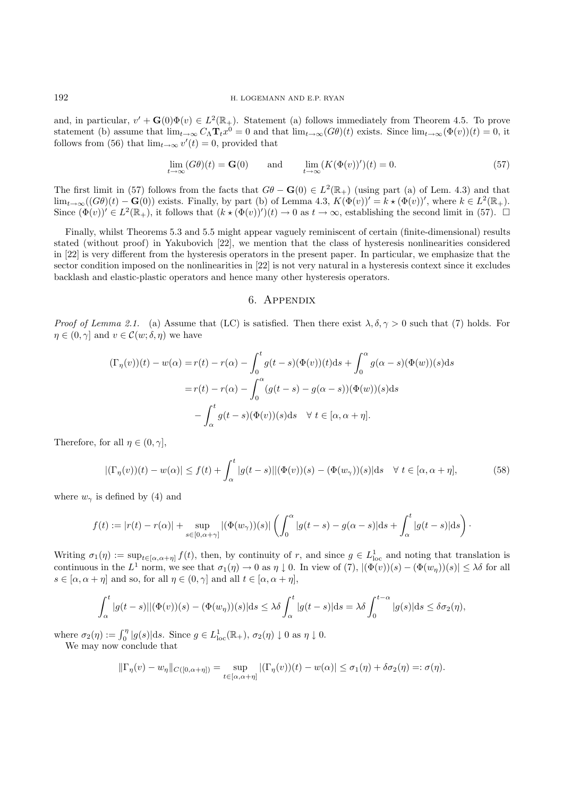and, in particular,  $v' + \mathbf{G}(0)\Phi(v) \in L^2(\mathbb{R}_+)$ . Statement (a) follows immediately from Theorem 4.5. To prove statement (b) assume that  $\lim_{t\to\infty} C_\Lambda \mathbf{T}_t x^0 = 0$  and that  $\lim_{t\to\infty} (G\theta)(t)$  exists. Since  $\lim_{t\to\infty} (\Phi(v))(t) = 0$ , it follows from (56) that  $\lim_{t\to\infty} v'(t) = 0$ , provided that

$$
\lim_{t \to \infty} (G\theta)(t) = \mathbf{G}(0) \quad \text{and} \quad \lim_{t \to \infty} (K(\Phi(v))')(t) = 0. \tag{57}
$$

The first limit in (57) follows from the facts that  $G\theta - \mathbf{G}(0) \in L^2(\mathbb{R}_+)$  (using part (a) of Lem. 4.3) and that  $\lim_{t\to\infty}((G\theta)(t)-\mathbf{G}(0))$  exists. Finally, by part (b) of Lemma 4.3,  $K(\Phi(v))'=k\star(\Phi(v))'$ , where  $k\in L^2(\mathbb{R}_+).$ Since  $(\Phi(v))' \in L^2(\mathbb{R}_+),$  it follows that  $(k \star (\Phi(v))')(t) \to 0$  as  $t \to \infty$ , establishing the second limit in (57).  $\Box$ 

Finally, whilst Theorems 5.3 and 5.5 might appear vaguely reminiscent of certain (finite-dimensional) results stated (without proof) in Yakubovich [22], we mention that the class of hysteresis nonlinearities considered in [22] is very different from the hysteresis operators in the present paper. In particular, we emphasize that the sector condition imposed on the nonlinearities in [22] is not very natural in a hysteresis context since it excludes backlash and elastic-plastic operators and hence many other hysteresis operators.

## 6. Appendix

*Proof of Lemma 2.1.* (a) Assume that (LC) is satisfied. Then there exist  $\lambda, \delta, \gamma > 0$  such that (7) holds. For  $\eta \in (0, \gamma]$  and  $v \in \mathcal{C}(w; \delta, \eta)$  we have

$$
(\Gamma_{\eta}(v))(t) - w(\alpha) = r(t) - r(\alpha) - \int_0^t g(t-s)(\Phi(v))(t)ds + \int_0^{\alpha} g(\alpha - s)(\Phi(w))(s)ds
$$

$$
= r(t) - r(\alpha) - \int_0^{\alpha} (g(t-s) - g(\alpha - s))(\Phi(w))(s)ds
$$

$$
- \int_{\alpha}^t g(t-s)(\Phi(v))(s)ds \quad \forall \ t \in [\alpha, \alpha + \eta].
$$

Therefore, for all  $\eta \in (0, \gamma]$ ,

$$
|(\Gamma_{\eta}(v))(t) - w(\alpha)| \le f(t) + \int_{\alpha}^{t} |g(t-s)| |(\Phi(v))(s) - (\Phi(w_{\gamma}))(s)| ds \quad \forall \ t \in [\alpha, \alpha + \eta],
$$
 (58)

where  $w_{\gamma}$  is defined by (4) and

$$
f(t) := |r(t) - r(\alpha)| + \sup_{s \in [0, \alpha + \gamma]} |(\Phi(w_{\gamma}))(s)| \left( \int_0^{\alpha} |g(t - s) - g(\alpha - s)| ds + \int_{\alpha}^t |g(t - s)| ds \right).
$$

Writing  $\sigma_1(\eta) := \sup_{t \in [\alpha, \alpha + \eta]} f(t)$ , then, by continuity of r, and since  $g \in L^1_{loc}$  and noting that translation is continuous in the  $L^1$  norm, we see that  $\sigma_1(\eta) \to 0$  as  $\eta \downarrow 0$ . In view of  $(7)$ ,  $|(\Phi(v))(s) - (\Phi(w_n))(s)| \leq \lambda \delta$  for all  $s \in [\alpha, \alpha + \eta]$  and so, for all  $\eta \in (0, \gamma]$  and all  $t \in [\alpha, \alpha + \eta]$ ,

$$
\int_{\alpha}^{t} |g(t-s)| |(\Phi(v))(s) - (\Phi(w_{\eta}))(s)| ds \leq \lambda \delta \int_{\alpha}^{t} |g(t-s)| ds = \lambda \delta \int_{0}^{t-\alpha} |g(s)| ds \leq \delta \sigma_{2}(\eta),
$$

where  $\sigma_2(\eta) := \int_0^{\eta} |g(s)| ds$ . Since  $g \in L^1_{loc}(\mathbb{R}_+), \sigma_2(\eta) \downarrow 0$  as  $\eta \downarrow 0$ . We may now conclude that

$$
\|\Gamma_\eta(v)-w_\eta\|_{C([0,\alpha+\eta])}=\sup_{t\in [\alpha,\alpha+\eta]}|(\Gamma_\eta(v))(t)-w(\alpha)|\leq \sigma_1(\eta)+\delta\sigma_2(\eta)=:\sigma(\eta).
$$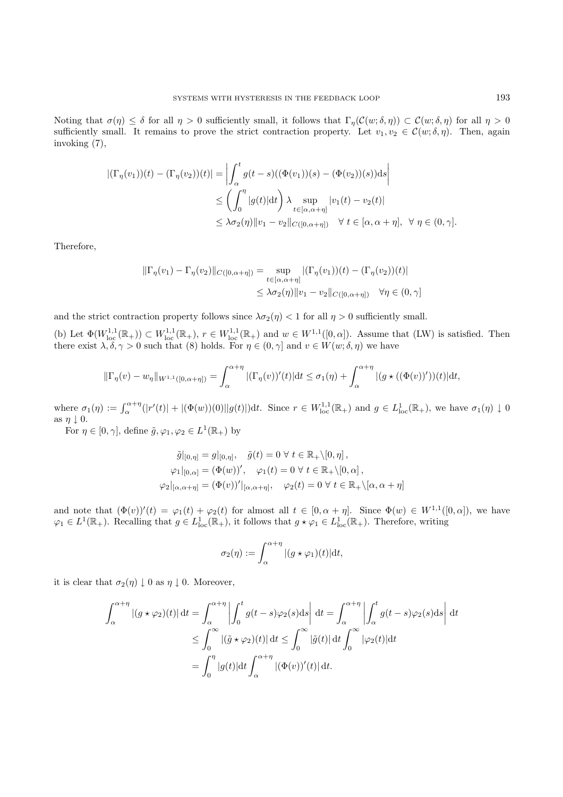Noting that  $\sigma(\eta) \leq \delta$  for all  $\eta > 0$  sufficiently small, it follows that  $\Gamma_n(\mathcal{C}(w;\delta,\eta)) \subset \mathcal{C}(w;\delta,\eta)$  for all  $\eta > 0$ sufficiently small. It remains to prove the strict contraction property. Let  $v_1, v_2 \in \mathcal{C}(w, \delta, \eta)$ . Then, again invoking (7),

$$
\begin{aligned} |(\Gamma_{\eta}(v_1))(t) - (\Gamma_{\eta}(v_2))(t)| &= \left| \int_{\alpha}^{t} g(t-s)((\Phi(v_1))(s) - (\Phi(v_2))(s))ds \right| \\ &\leq \left( \int_{0}^{\eta} |g(t)| \mathrm{d}t \right) \lambda \sup_{t \in [\alpha, \alpha + \eta]} |v_1(t) - v_2(t)| \\ &\leq \lambda \sigma_2(\eta) \|v_1 - v_2\|_{C([0, \alpha + \eta])} \quad \forall \ t \in [\alpha, \alpha + \eta], \ \forall \ \eta \in (0, \gamma]. \end{aligned}
$$

Therefore,

$$
\|\Gamma_{\eta}(v_1) - \Gamma_{\eta}(v_2)\|_{C([0,\alpha+\eta])} = \sup_{t \in [\alpha,\alpha+\eta]} |(\Gamma_{\eta}(v_1))(t) - (\Gamma_{\eta}(v_2))(t)|
$$
  

$$
\leq \lambda \sigma_2(\eta) \|v_1 - v_2\|_{C([0,\alpha+\eta])} \quad \forall \eta \in (0,\gamma]
$$

and the strict contraction property follows since  $\lambda \sigma_2(\eta) < 1$  for all  $\eta > 0$  sufficiently small.

(b) Let  $\Phi(W^{1,1}_{loc}(\mathbb{R}_+)) \subset W^{1,1}_{loc}(\mathbb{R}_+), r \in W^{1,1}_{loc}(\mathbb{R}_+)$  and  $w \in W^{1,1}([0,\alpha])$ . Assume that  $(LW)$  is satisfied. Then there exist  $\lambda, \delta, \gamma > 0$  such that (8) holds. For  $\eta \in (0, \gamma]$  and  $v \in W(w; \delta, \eta)$  we have

$$
\|\Gamma_{\eta}(v)-w_{\eta}\|_{W^{1,1}([0,\alpha+\eta])}=\int_{\alpha}^{\alpha+\eta} |(\Gamma_{\eta}(v))'(t)|dt\leq \sigma_1(\eta)+\int_{\alpha}^{\alpha+\eta} |(g\star((\Phi(v))'))(t)|dt,
$$

where  $\sigma_1(\eta) := \int_{\alpha}^{\alpha+\eta} (|r'(t)| + |(\Phi(w))(0)||g(t)|)dt$ . Since  $r \in W^{1,1}_{loc}(\mathbb{R}_+)$  and  $g \in L^1_{loc}(\mathbb{R}_+)$ , we have  $\sigma_1(\eta) \downarrow 0$ as  $\eta \downarrow 0$ .

For  $\eta \in [0, \gamma]$ , define  $\tilde{g}, \varphi_1, \varphi_2 \in L^1(\mathbb{R}_+)$  by

$$
\tilde{g}|_{[0,\eta]} = g|_{[0,\eta]}, \quad \tilde{g}(t) = 0 \,\forall \, t \in \mathbb{R}_+ \setminus [0,\eta],
$$
  

$$
\varphi_1|_{[0,\alpha]} = (\Phi(w))', \quad \varphi_1(t) = 0 \,\forall \, t \in \mathbb{R}_+ \setminus [0,\alpha],
$$
  

$$
\varphi_2|_{[\alpha,\alpha+\eta]} = (\Phi(v))'|_{[\alpha,\alpha+\eta]}, \quad \varphi_2(t) = 0 \,\forall \, t \in \mathbb{R}_+ \setminus [\alpha,\alpha+\eta],
$$

and note that  $(\Phi(v))'(t) = \varphi_1(t) + \varphi_2(t)$  for almost all  $t \in [0, \alpha + \eta]$ . Since  $\Phi(w) \in W^{1,1}([0, \alpha])$ , we have  $\varphi_1 \in L^1(\mathbb{R}_+).$  Recalling that  $g \in L^1_{loc}(\mathbb{R}_+),$  it follows that  $g \star \varphi_1 \in L^1_{loc}(\mathbb{R}_+).$  Therefore, writing

$$
\sigma_2(\eta) := \int_{\alpha}^{\alpha + \eta} |(g * \varphi_1)(t)| \mathrm{d}t,
$$

it is clear that  $\sigma_2(\eta) \downarrow 0$  as  $\eta \downarrow 0$ . Moreover,

$$
\int_{\alpha}^{\alpha+\eta} |(g \star \varphi_2)(t)| dt = \int_{\alpha}^{\alpha+\eta} \left| \int_{0}^{t} g(t-s) \varphi_2(s) ds \right| dt = \int_{\alpha}^{\alpha+\eta} \left| \int_{\alpha}^{t} g(t-s) \varphi_2(s) ds \right| dt
$$
  

$$
\leq \int_{0}^{\infty} |(\tilde{g} \star \varphi_2)(t)| dt \leq \int_{0}^{\infty} |\tilde{g}(t)| dt \int_{0}^{\infty} |\varphi_2(t)| dt
$$
  

$$
= \int_{0}^{\eta} |g(t)| dt \int_{\alpha}^{\alpha+\eta} |(\Phi(v))'(t)| dt.
$$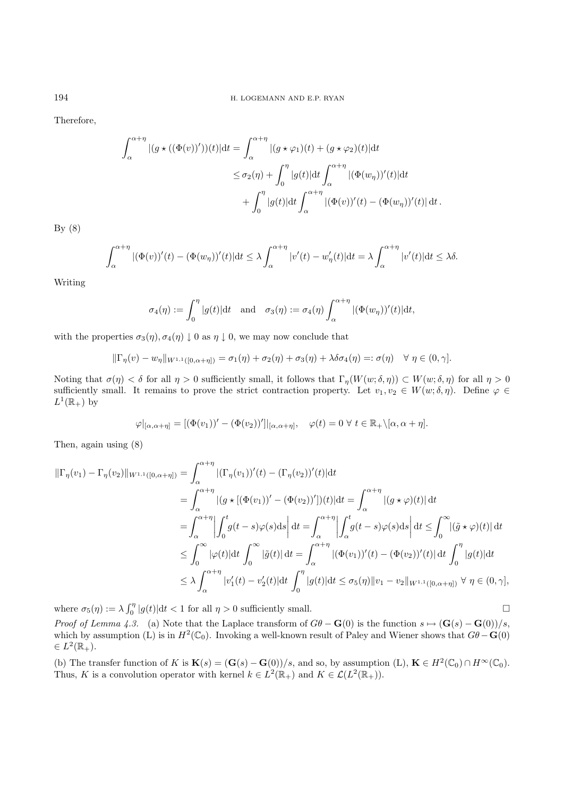Therefore,

$$
\int_{\alpha}^{\alpha+\eta} |(g \star ((\Phi(v))'))(t)| dt = \int_{\alpha}^{\alpha+\eta} |(g \star \varphi_1)(t) + (g \star \varphi_2)(t)| dt
$$
  

$$
\leq \sigma_2(\eta) + \int_0^{\eta} |g(t)| dt \int_{\alpha}^{\alpha+\eta} |(\Phi(w_\eta))'(t)| dt
$$
  

$$
+ \int_0^{\eta} |g(t)| dt \int_{\alpha}^{\alpha+\eta} |(\Phi(v))'(t) - (\Phi(w_\eta))'(t)| dt.
$$

By  $(8)$ 

$$
\int_{\alpha}^{\alpha+\eta} |(\Phi(v))'(t) - (\Phi(w_{\eta}))'(t)| \mathrm{d}t \leq \lambda \int_{\alpha}^{\alpha+\eta} |v'(t) - w'_{\eta}(t)| \mathrm{d}t = \lambda \int_{\alpha}^{\alpha+\eta} |v'(t)| \mathrm{d}t \leq \lambda \delta.
$$

Writing

$$
\sigma_4(\eta) := \int_0^{\eta} |g(t)| \mathrm{d}t \quad \text{and} \quad \sigma_3(\eta) := \sigma_4(\eta) \int_{\alpha}^{\alpha + \eta} |(\Phi(w_{\eta}))'(t)| \mathrm{d}t,
$$

with the properties  $\sigma_3(\eta)$ ,  $\sigma_4(\eta) \downarrow 0$  as  $\eta \downarrow 0$ , we may now conclude that

$$
\|\Gamma_{\eta}(v)-w_{\eta}\|_{W^{1,1}([0,\alpha+\eta])}=\sigma_1(\eta)+\sigma_2(\eta)+\sigma_3(\eta)+\lambda\delta\sigma_4(\eta)=:\sigma(\eta) \quad \forall \eta\in(0,\gamma].
$$

Noting that  $\sigma(\eta) < \delta$  for all  $\eta > 0$  sufficiently small, it follows that  $\Gamma_{\eta}(W(w;\delta,\eta)) \subset W(w;\delta,\eta)$  for all  $\eta > 0$ sufficiently small. It remains to prove the strict contraction property. Let  $v_1, v_2 \in W(w; \delta, \eta)$ . Define  $\varphi \in$  $L^1(\mathbb{R}_+)$  by

$$
\varphi|_{[\alpha,\alpha+\eta]} = [(\Phi(v_1))' - (\Phi(v_2))']|_{[\alpha,\alpha+\eta]}, \quad \varphi(t) = 0 \,\,\forall \,\, t \in \mathbb{R}_+ \setminus [\alpha,\alpha+\eta].
$$

Then, again using (8)

$$
\begin{split}\n\|\Gamma_{\eta}(v_{1}) - \Gamma_{\eta}(v_{2})\|_{W^{1,1}([0,\alpha+\eta])} &= \int_{\alpha}^{\alpha+\eta} |(\Gamma_{\eta}(v_{1}))'(t) - (\Gamma_{\eta}(v_{2}))'(t)|dt \\
&= \int_{\alpha}^{\alpha+\eta} |(g \star [(\Phi(v_{1}))' - (\Phi(v_{2}))'])[t)|dt = \int_{\alpha}^{\alpha+\eta} |(g \star \varphi)(t)|dt \\
&= \int_{\alpha}^{\alpha+\eta} \left| \int_{0}^{t} g(t-s)\varphi(s)ds \right| dt = \int_{\alpha}^{\alpha+\eta} \left| \int_{\alpha}^{t} g(t-s)\varphi(s)ds \right| dt \leq \int_{0}^{\infty} |(\tilde{g} \star \varphi)(t)|dt \\
&\leq \int_{0}^{\infty} |\varphi(t)|dt \int_{0}^{\infty} |\tilde{g}(t)|dt = \int_{\alpha}^{\alpha+\eta} |(\Phi(v_{1}))'(t) - (\Phi(v_{2}))'(t)|dt \int_{0}^{\eta} |g(t)|dt \\
&\leq \lambda \int_{\alpha}^{\alpha+\eta} |v_{1}'(t) - v_{2}'(t)|dt \int_{0}^{\eta} |g(t)|dt \leq \sigma_{5}(\eta) \|v_{1} - v_{2} \|_{W^{1,1}([0,\alpha+\eta])} \ \forall \ \eta \in (0,\gamma],\n\end{split}
$$

where  $\sigma_5(\eta) := \lambda \int_0^{\eta} |g(t)| dt < 1$  for all  $\eta > 0$  sufficiently small.

*Proof of Lemma 4.3.* (a) Note that the Laplace transform of  $G\theta - \mathbf{G}(0)$  is the function  $s \mapsto (\mathbf{G}(s) - \mathbf{G}(0))/s$ , which by assumption (L) is in  $H^2(\mathbb{C}_0)$ . Invoking a well-known result of Paley and Wiener shows that  $G\theta - G(0)$  $\in L^2(\mathbb{R}_+).$ 

(b) The transfer function of K is  $\mathbf{K}(s)=(\mathbf{G}(s)-\mathbf{G}(0))/s$ , and so, by assumption (L),  $\mathbf{K} \in H^2(\mathbb{C}_0) \cap H^{\infty}(\mathbb{C}_0)$ . Thus, K is a convolution operator with kernel  $k \in L^2(\mathbb{R}_+)$  and  $K \in \mathcal{L}(L^2(\mathbb{R}_+)).$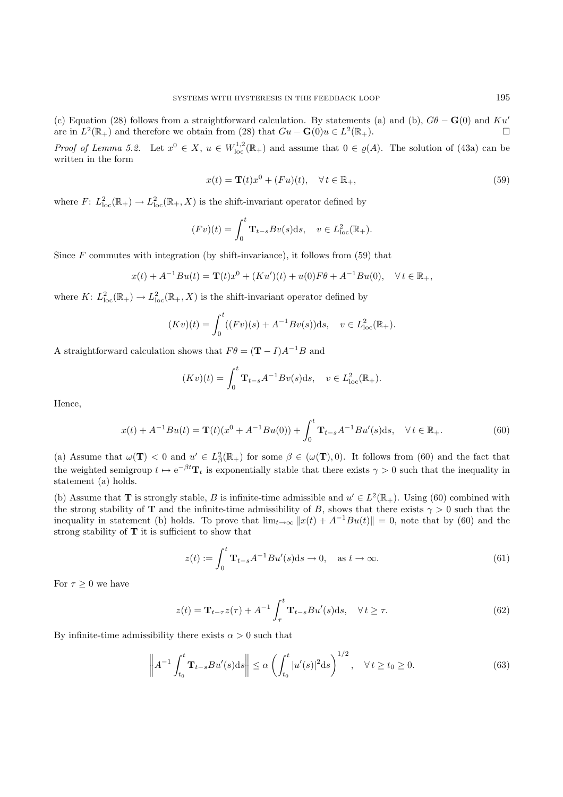(c) Equation (28) follows from a straightforward calculation. By statements (a) and (b),  $G\theta - G(0)$  and Ku' are in  $L^2(\mathbb{R}_+)$  and therefore we obtain from (28) that  $Gu - \mathbf{G}(0)u \in L^2(\mathbb{R}_+).$   $\Box$ 

*Proof of Lemma 5.2.* Let  $x^0 \in X$ ,  $u \in W^{1,2}_{loc}(\mathbb{R}_+)$  and assume that  $0 \in \varrho(A)$ . The solution of (43a) can be written in the form

$$
x(t) = \mathbf{T}(t)x^{0} + (Fu)(t), \quad \forall t \in \mathbb{R}_{+},
$$
\n(59)

where  $F: L^2_{loc}(\mathbb{R}_+) \to L^2_{loc}(\mathbb{R}_+, X)$  is the shift-invariant operator defined by

$$
(Fv)(t) = \int_0^t \mathbf{T}_{t-s} Bv(s) \, ds, \quad v \in L^2_{\text{loc}}(\mathbb{R}_+).
$$

Since  $F$  commutes with integration (by shift-invariance), it follows from (59) that

$$
x(t) + A^{-1}Bu(t) = \mathbf{T}(t)x^{0} + (Ku')(t) + u(0)F\theta + A^{-1}Bu(0), \quad \forall t \in \mathbb{R}_{+},
$$

where  $K: L^2_{loc}(\mathbb{R}_+) \to L^2_{loc}(\mathbb{R}_+, X)$  is the shift-invariant operator defined by

$$
(Kv)(t) = \int_0^t ((Fv)(s) + A^{-1}Bv(s))ds, \quad v \in L^2_{loc}(\mathbb{R}_+).
$$

A straightforward calculation shows that  $F\theta = (\mathbf{T} - I)A^{-1}B$  and

$$
(Kv)(t) = \int_0^t \mathbf{T}_{t-s} A^{-1} Bv(s) ds, \quad v \in L^2_{loc}(\mathbb{R}_+).
$$

Hence,

$$
x(t) + A^{-1}Bu(t) = \mathbf{T}(t)(x^0 + A^{-1}Bu(0)) + \int_0^t \mathbf{T}_{t-s}A^{-1}Bu'(s)ds, \quad \forall t \in \mathbb{R}_+.
$$
 (60)

(a) Assume that  $\omega(\mathbf{T}) < 0$  and  $u' \in L^2_{\beta}(\mathbb{R}_+)$  for some  $\beta \in (\omega(\mathbf{T}), 0)$ . It follows from (60) and the fact that the weighted semigroup  $t \mapsto e^{-\beta t}T_t$  is exponentially stable that there exists  $\gamma > 0$  such that the inequality in statement (a) holds.

(b) Assume that **T** is strongly stable, B is infinite-time admissible and  $u' \in L^2(\mathbb{R}_+)$ . Using (60) combined with the strong stability of **T** and the infinite-time admissibility of B, shows that there exists  $\gamma > 0$  such that the inequality in statement (b) holds. To prove that  $\lim_{t\to\infty} ||x(t) + A^{-1}Bu(t)|| = 0$ , note that by (60) and the strong stability of **T** it is sufficient to show that

$$
z(t) := \int_0^t \mathbf{T}_{t-s} A^{-1} B u'(s) \, \mathrm{d}s \to 0, \quad \text{as } t \to \infty. \tag{61}
$$

For  $\tau \geq 0$  we have

$$
z(t) = \mathbf{T}_{t-\tau} z(\tau) + A^{-1} \int_{\tau}^{t} \mathbf{T}_{t-s} B u'(s) \, ds, \quad \forall \, t \ge \tau. \tag{62}
$$

By infinite-time admissibility there exists  $\alpha > 0$  such that

$$
\left\| A^{-1} \int_{t_0}^t \mathbf{T}_{t-s} B u'(s) \, ds \right\| \le \alpha \left( \int_{t_0}^t |u'(s)|^2 \, ds \right)^{1/2}, \quad \forall \, t \ge t_0 \ge 0. \tag{63}
$$